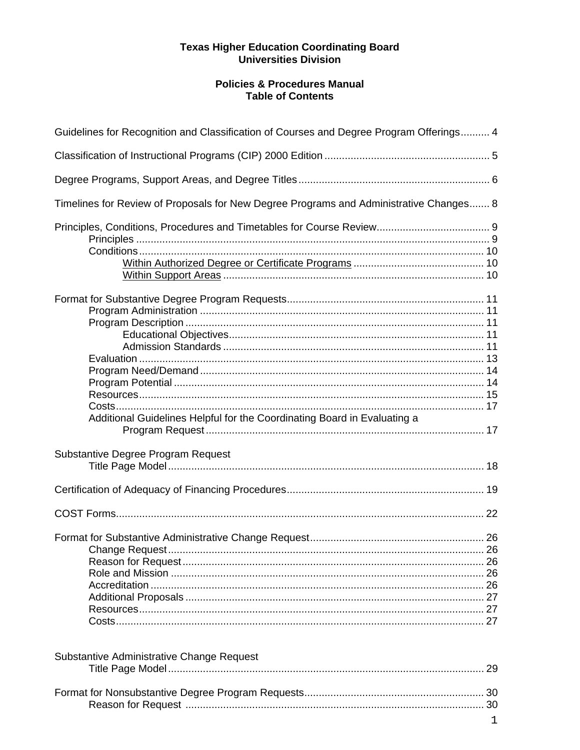## **Policies & Procedures Manual Table of Contents**

| Guidelines for Recognition and Classification of Courses and Degree Program Offerings 4                        |  |
|----------------------------------------------------------------------------------------------------------------|--|
|                                                                                                                |  |
|                                                                                                                |  |
| Timelines for Review of Proposals for New Degree Programs and Administrative Changes 8                         |  |
|                                                                                                                |  |
| Additional Guidelines Helpful for the Coordinating Board in Evaluating a<br>Substantive Degree Program Request |  |
|                                                                                                                |  |
|                                                                                                                |  |
|                                                                                                                |  |
|                                                                                                                |  |
| Substantive Administrative Change Request                                                                      |  |
|                                                                                                                |  |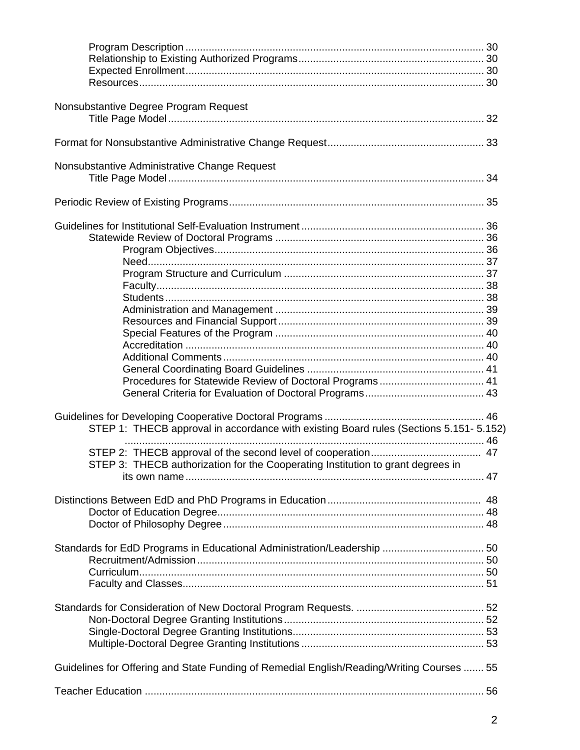| Nonsubstantive Degree Program Request                                                     |  |
|-------------------------------------------------------------------------------------------|--|
|                                                                                           |  |
|                                                                                           |  |
|                                                                                           |  |
| Nonsubstantive Administrative Change Request                                              |  |
|                                                                                           |  |
|                                                                                           |  |
|                                                                                           |  |
|                                                                                           |  |
|                                                                                           |  |
|                                                                                           |  |
|                                                                                           |  |
|                                                                                           |  |
|                                                                                           |  |
|                                                                                           |  |
|                                                                                           |  |
|                                                                                           |  |
|                                                                                           |  |
|                                                                                           |  |
|                                                                                           |  |
|                                                                                           |  |
|                                                                                           |  |
|                                                                                           |  |
|                                                                                           |  |
|                                                                                           |  |
| STEP 1: THECB approval in accordance with existing Board rules (Sections 5.151-5.152)     |  |
|                                                                                           |  |
|                                                                                           |  |
| STEP 3: THECB authorization for the Cooperating Institution to grant degrees in           |  |
|                                                                                           |  |
|                                                                                           |  |
|                                                                                           |  |
|                                                                                           |  |
|                                                                                           |  |
|                                                                                           |  |
|                                                                                           |  |
|                                                                                           |  |
|                                                                                           |  |
|                                                                                           |  |
|                                                                                           |  |
|                                                                                           |  |
|                                                                                           |  |
|                                                                                           |  |
|                                                                                           |  |
|                                                                                           |  |
| Guidelines for Offering and State Funding of Remedial English/Reading/Writing Courses  55 |  |
|                                                                                           |  |
|                                                                                           |  |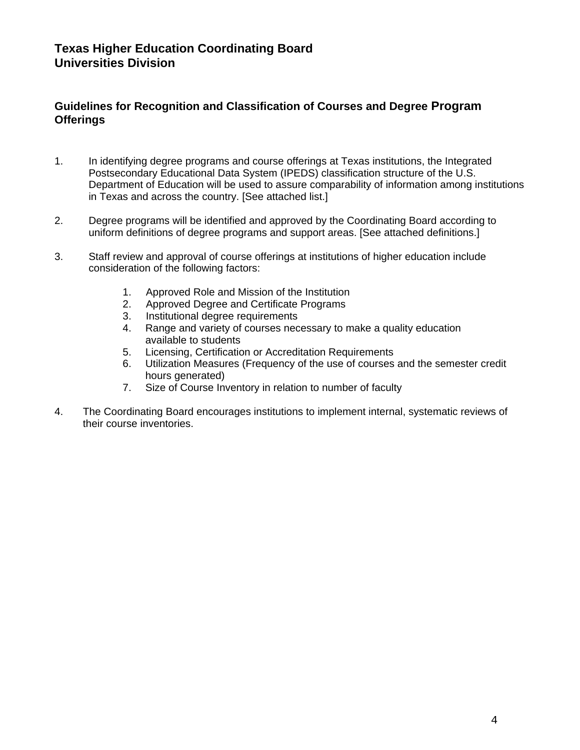## **Guidelines for Recognition and Classification of Courses and Degree Program Offerings**

- 1. In identifying degree programs and course offerings at Texas institutions, the Integrated Postsecondary Educational Data System (IPEDS) classification structure of the U.S. Department of Education will be used to assure comparability of information among institutions in Texas and across the country. [See attached list.]
- 2. Degree programs will be identified and approved by the Coordinating Board according to uniform definitions of degree programs and support areas. [See attached definitions.]
- 3. Staff review and approval of course offerings at institutions of higher education include consideration of the following factors:
	- 1. Approved Role and Mission of the Institution
	- 2. Approved Degree and Certificate Programs
	- 3. Institutional degree requirements
	- 4. Range and variety of courses necessary to make a quality education available to students
	- 5. Licensing, Certification or Accreditation Requirements
	- 6. Utilization Measures (Frequency of the use of courses and the semester credit hours generated)
	- 7. Size of Course Inventory in relation to number of faculty
- 4. The Coordinating Board encourages institutions to implement internal, systematic reviews of their course inventories.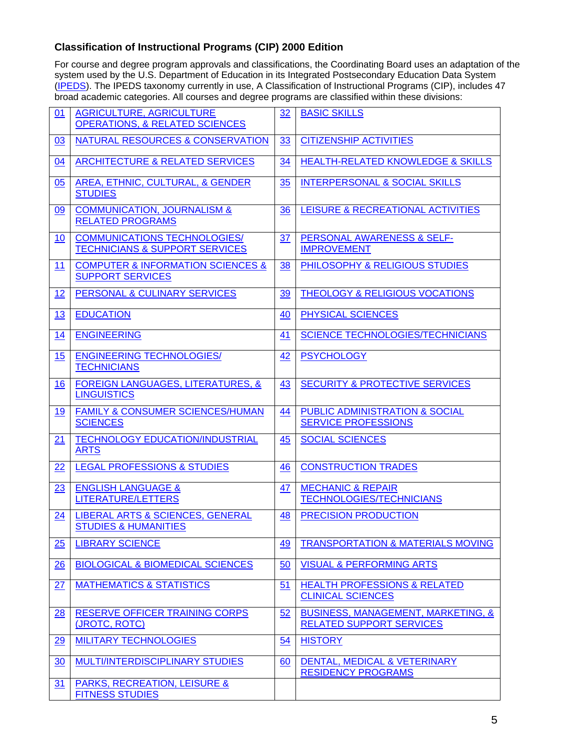## **Classification of Instructional Programs (CIP) 2000 Edition**

For course and degree program approvals and classifications, the Coordinating Board uses an adaptation of the system used by the U.S. Department of Education in its Integrated Postsecondary Education Data System (IPEDS). The IPEDS taxonomy currently in use, A Classification of Instructional Programs (CIP), includes 47 broad academic categories. All courses and degree programs are classified within these divisions:

| 01        | <b>AGRICULTURE, AGRICULTURE</b>                                                  | 32 | <b>BASIC SKILLS</b>                                                              |
|-----------|----------------------------------------------------------------------------------|----|----------------------------------------------------------------------------------|
|           | <b>OPERATIONS, &amp; RELATED SCIENCES</b>                                        |    |                                                                                  |
| 03        | <b>NATURAL RESOURCES &amp; CONSERVATION</b>                                      | 33 | <b>CITIZENSHIP ACTIVITIES</b>                                                    |
| 04        | <b>ARCHITECTURE &amp; RELATED SERVICES</b>                                       | 34 | <b>HEALTH-RELATED KNOWLEDGE &amp; SKILLS</b>                                     |
| 05        | AREA, ETHNIC, CULTURAL, & GENDER<br><b>STUDIES</b>                               | 35 | <b>INTERPERSONAL &amp; SOCIAL SKILLS</b>                                         |
| 09        | <b>COMMUNICATION, JOURNALISM &amp;</b><br><b>RELATED PROGRAMS</b>                | 36 | LEISURE & RECREATIONAL ACTIVITIES                                                |
| 10        | <b>COMMUNICATIONS TECHNOLOGIES/</b><br><b>TECHNICIANS &amp; SUPPORT SERVICES</b> | 37 | PERSONAL AWARENESS & SELF-<br><b>IMPROVEMENT</b>                                 |
| 11        | <b>COMPUTER &amp; INFORMATION SCIENCES &amp;</b><br><b>SUPPORT SERVICES</b>      | 38 | PHILOSOPHY & RELIGIOUS STUDIES                                                   |
| 12        | PERSONAL & CULINARY SERVICES                                                     | 39 | <b>THEOLOGY &amp; RELIGIOUS VOCATIONS</b>                                        |
| 13        | <b>EDUCATION</b>                                                                 | 40 | PHYSICAL SCIENCES                                                                |
| 14        | <b>ENGINEERING</b>                                                               | 41 | <b>SCIENCE TECHNOLOGIES/TECHNICIANS</b>                                          |
| 15        | <b>ENGINEERING TECHNOLOGIES/</b><br><b>TECHNICIANS</b>                           | 42 | <b>PSYCHOLOGY</b>                                                                |
| 16        | <b>FOREIGN LANGUAGES, LITERATURES, &amp;</b><br><b>LINGUISTICS</b>               | 43 | <b>SECURITY &amp; PROTECTIVE SERVICES</b>                                        |
| <u>19</u> | <b>FAMILY &amp; CONSUMER SCIENCES/HUMAN</b><br><b>SCIENCES</b>                   | 44 | <b>PUBLIC ADMINISTRATION &amp; SOCIAL</b><br><b>SERVICE PROFESSIONS</b>          |
| 21        | <b>TECHNOLOGY EDUCATION/INDUSTRIAL</b><br><b>ARTS</b>                            | 45 | <b>SOCIAL SCIENCES</b>                                                           |
| 22        | <b>LEGAL PROFESSIONS &amp; STUDIES</b>                                           | 46 | <b>CONSTRUCTION TRADES</b>                                                       |
| 23        | <b>ENGLISH LANGUAGE &amp;</b><br>LITERATURE/LETTERS                              | 47 | <b>MECHANIC &amp; REPAIR</b><br><b>TECHNOLOGIES/TECHNICIANS</b>                  |
| 24        | LIBERAL ARTS & SCIENCES, GENERAL<br><b>STUDIES &amp; HUMANITIES</b>              | 48 | <b>PRECISION PRODUCTION</b>                                                      |
| 25        | <b>LIBRARY SCIENCE</b>                                                           | 49 | <b>TRANSPORTATION &amp; MATERIALS MOVING</b>                                     |
| 26        | <b>BIOLOGICAL &amp; BIOMEDICAL SCIENCES</b>                                      | 50 | <b>VISUAL &amp; PERFORMING ARTS</b>                                              |
| 27        | <b>MATHEMATICS &amp; STATISTICS</b>                                              | 51 | <b>HEALTH PROFESSIONS &amp; RELATED</b><br><b>CLINICAL SCIENCES</b>              |
| 28        | <b>RESERVE OFFICER TRAINING CORPS</b><br>(JROTC, ROTC)                           | 52 | <b>BUSINESS, MANAGEMENT, MARKETING, &amp;</b><br><b>RELATED SUPPORT SERVICES</b> |
| 29        | <b>MILITARY TECHNOLOGIES</b>                                                     | 54 | <b>HISTORY</b>                                                                   |
| 30        | <b>MULTI/INTERDISCIPLINARY STUDIES</b>                                           | 60 | <b>DENTAL, MEDICAL &amp; VETERINARY</b><br><b>RESIDENCY PROGRAMS</b>             |
| 31        | <b>PARKS, RECREATION, LEISURE &amp;</b><br><b>FITNESS STUDIES</b>                |    |                                                                                  |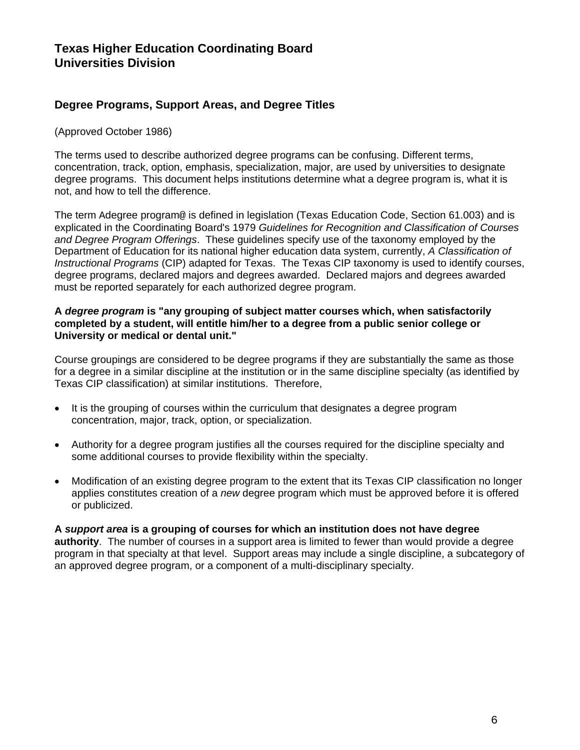## **Degree Programs, Support Areas, and Degree Titles**

(Approved October 1986)

The terms used to describe authorized degree programs can be confusing. Different terms, concentration, track, option, emphasis, specialization, major, are used by universities to designate degree programs. This document helps institutions determine what a degree program is, what it is not, and how to tell the difference.

The term Adegree program@ is defined in legislation (Texas Education Code, Section 61.003) and is explicated in the Coordinating Board's 1979 *Guidelines for Recognition and Classification of Courses and Degree Program Offerings*. These guidelines specify use of the taxonomy employed by the Department of Education for its national higher education data system, currently, *A Classification of Instructional Programs* (CIP) adapted for Texas. The Texas CIP taxonomy is used to identify courses, degree programs, declared majors and degrees awarded. Declared majors and degrees awarded must be reported separately for each authorized degree program.

#### **A** *degree program* **is "any grouping of subject matter courses which, when satisfactorily completed by a student, will entitle him/her to a degree from a public senior college or University or medical or dental unit."**

Course groupings are considered to be degree programs if they are substantially the same as those for a degree in a similar discipline at the institution or in the same discipline specialty (as identified by Texas CIP classification) at similar institutions. Therefore,

- It is the grouping of courses within the curriculum that designates a degree program concentration, major, track, option, or specialization.
- Authority for a degree program justifies all the courses required for the discipline specialty and some additional courses to provide flexibility within the specialty.
- Modification of an existing degree program to the extent that its Texas CIP classification no longer applies constitutes creation of a *new* degree program which must be approved before it is offered or publicized.

#### **A** *support area* **is a grouping of courses for which an institution does not have degree authority**. The number of courses in a support area is limited to fewer than would provide a degree program in that specialty at that level. Support areas may include a single discipline, a subcategory of an approved degree program, or a component of a multi-disciplinary specialty.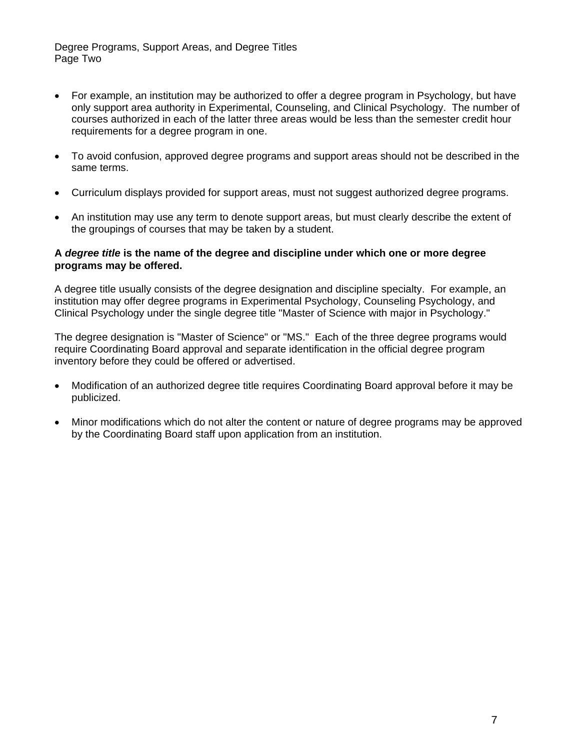Degree Programs, Support Areas, and Degree Titles Page Two

- For example, an institution may be authorized to offer a degree program in Psychology, but have only support area authority in Experimental, Counseling, and Clinical Psychology. The number of courses authorized in each of the latter three areas would be less than the semester credit hour requirements for a degree program in one.
- To avoid confusion, approved degree programs and support areas should not be described in the same terms.
- Curriculum displays provided for support areas, must not suggest authorized degree programs.
- An institution may use any term to denote support areas, but must clearly describe the extent of the groupings of courses that may be taken by a student.

#### **A** *degree title* **is the name of the degree and discipline under which one or more degree programs may be offered.**

A degree title usually consists of the degree designation and discipline specialty. For example, an institution may offer degree programs in Experimental Psychology, Counseling Psychology, and Clinical Psychology under the single degree title "Master of Science with major in Psychology."

The degree designation is "Master of Science" or "MS." Each of the three degree programs would require Coordinating Board approval and separate identification in the official degree program inventory before they could be offered or advertised.

- Modification of an authorized degree title requires Coordinating Board approval before it may be publicized.
- Minor modifications which do not alter the content or nature of degree programs may be approved by the Coordinating Board staff upon application from an institution.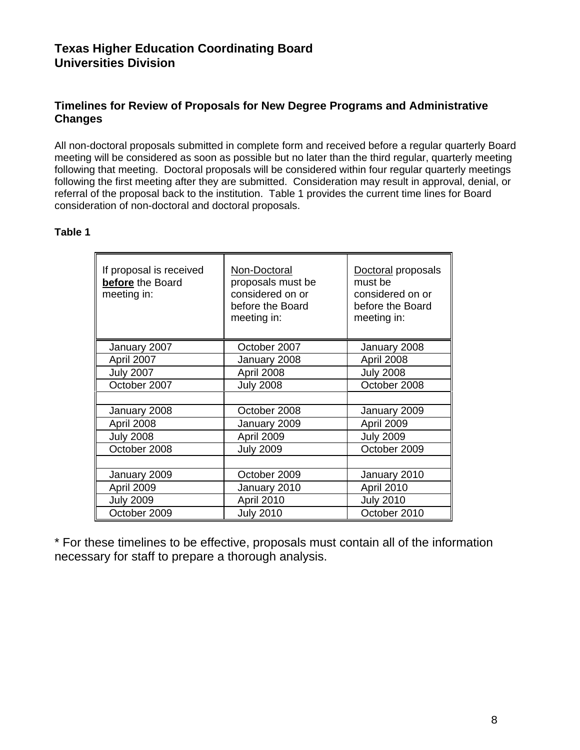## **Timelines for Review of Proposals for New Degree Programs and Administrative Changes**

All non-doctoral proposals submitted in complete form and received before a regular quarterly Board meeting will be considered as soon as possible but no later than the third regular, quarterly meeting following that meeting. Doctoral proposals will be considered within four regular quarterly meetings following the first meeting after they are submitted. Consideration may result in approval, denial, or referral of the proposal back to the institution. Table 1 provides the current time lines for Board consideration of non-doctoral and doctoral proposals.

## **Table 1**

| If proposal is received<br>before the Board<br>meeting in: | Non-Doctoral<br>proposals must be<br>considered on or<br>before the Board<br>meeting in: | Doctoral proposals<br>must be<br>considered on or<br>before the Board<br>meeting in: |
|------------------------------------------------------------|------------------------------------------------------------------------------------------|--------------------------------------------------------------------------------------|
| January 2007                                               | October 2007                                                                             | January 2008                                                                         |
| April 2007                                                 | January 2008                                                                             | April 2008                                                                           |
| <b>July 2007</b>                                           | April 2008                                                                               | <b>July 2008</b>                                                                     |
| October 2007                                               | <b>July 2008</b>                                                                         | October 2008                                                                         |
|                                                            |                                                                                          |                                                                                      |
| January 2008                                               | October 2008                                                                             | January 2009                                                                         |
| April 2008                                                 | January 2009                                                                             | April 2009                                                                           |
| <b>July 2008</b>                                           | April 2009                                                                               | <b>July 2009</b>                                                                     |
| October 2008                                               | <b>July 2009</b>                                                                         | October 2009                                                                         |
|                                                            |                                                                                          |                                                                                      |
| January 2009                                               | October 2009                                                                             | January 2010                                                                         |
| April 2009                                                 | January 2010                                                                             | April 2010                                                                           |
| <b>July 2009</b>                                           | April 2010                                                                               | <b>July 2010</b>                                                                     |
| October 2009                                               | <b>July 2010</b>                                                                         | October 2010                                                                         |

\* For these timelines to be effective, proposals must contain all of the information necessary for staff to prepare a thorough analysis.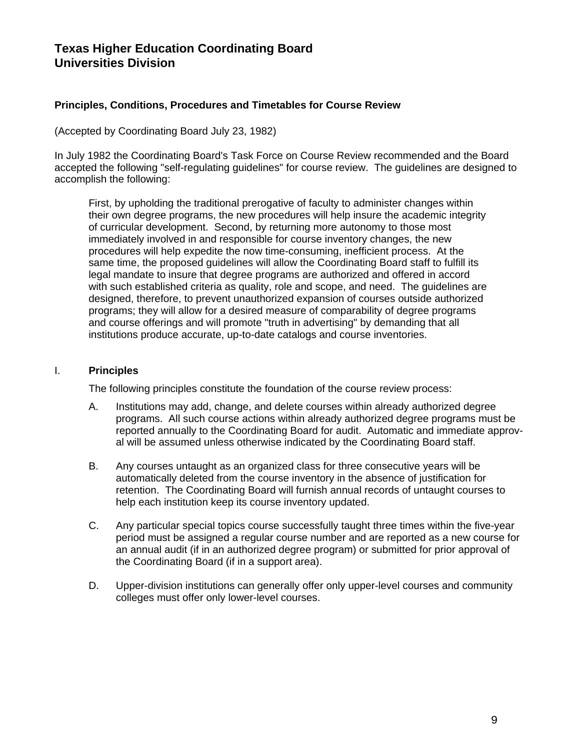#### **Principles, Conditions, Procedures and Timetables for Course Review**

(Accepted by Coordinating Board July 23, 1982)

In July 1982 the Coordinating Board's Task Force on Course Review recommended and the Board accepted the following "self-regulating guidelines" for course review. The guidelines are designed to accomplish the following:

First, by upholding the traditional prerogative of faculty to administer changes within their own degree programs, the new procedures will help insure the academic integrity of curricular development. Second, by returning more autonomy to those most immediately involved in and responsible for course inventory changes, the new procedures will help expedite the now time-consuming, inefficient process. At the same time, the proposed guidelines will allow the Coordinating Board staff to fulfill its legal mandate to insure that degree programs are authorized and offered in accord with such established criteria as quality, role and scope, and need. The guidelines are designed, therefore, to prevent unauthorized expansion of courses outside authorized programs; they will allow for a desired measure of comparability of degree programs and course offerings and will promote "truth in advertising" by demanding that all institutions produce accurate, up-to-date catalogs and course inventories.

#### I. **Principles**

The following principles constitute the foundation of the course review process:

- A. Institutions may add, change, and delete courses within already authorized degree programs. All such course actions within already authorized degree programs must be reported annually to the Coordinating Board for audit. Automatic and immediate approval will be assumed unless otherwise indicated by the Coordinating Board staff.
- B. Any courses untaught as an organized class for three consecutive years will be automatically deleted from the course inventory in the absence of justification for retention. The Coordinating Board will furnish annual records of untaught courses to help each institution keep its course inventory updated.
- C. Any particular special topics course successfully taught three times within the five-year period must be assigned a regular course number and are reported as a new course for an annual audit (if in an authorized degree program) or submitted for prior approval of the Coordinating Board (if in a support area).
- D. Upper-division institutions can generally offer only upper-level courses and community colleges must offer only lower-level courses.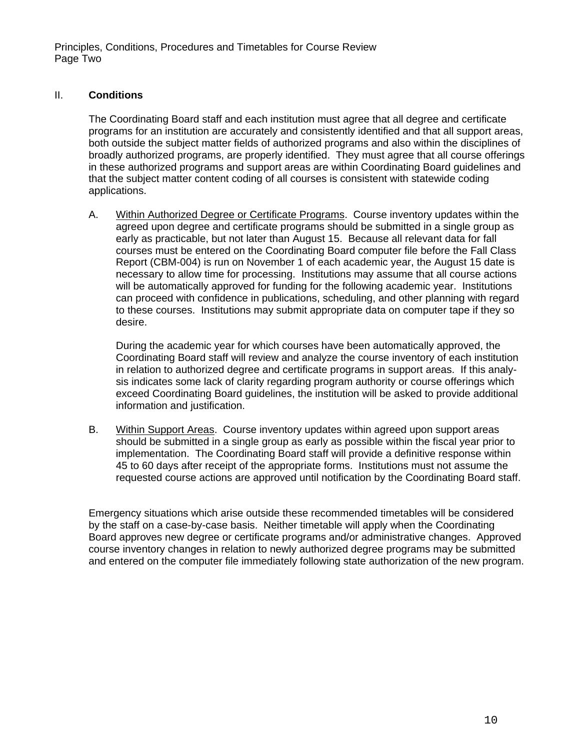Principles, Conditions, Procedures and Timetables for Course Review Page Two

#### II. **Conditions**

The Coordinating Board staff and each institution must agree that all degree and certificate programs for an institution are accurately and consistently identified and that all support areas, both outside the subject matter fields of authorized programs and also within the disciplines of broadly authorized programs, are properly identified. They must agree that all course offerings in these authorized programs and support areas are within Coordinating Board guidelines and that the subject matter content coding of all courses is consistent with statewide coding applications.

A. Within Authorized Degree or Certificate Programs. Course inventory updates within the agreed upon degree and certificate programs should be submitted in a single group as early as practicable, but not later than August 15. Because all relevant data for fall courses must be entered on the Coordinating Board computer file before the Fall Class Report (CBM-004) is run on November 1 of each academic year, the August 15 date is necessary to allow time for processing. Institutions may assume that all course actions will be automatically approved for funding for the following academic year. Institutions can proceed with confidence in publications, scheduling, and other planning with regard to these courses. Institutions may submit appropriate data on computer tape if they so desire.

During the academic year for which courses have been automatically approved, the Coordinating Board staff will review and analyze the course inventory of each institution in relation to authorized degree and certificate programs in support areas. If this analysis indicates some lack of clarity regarding program authority or course offerings which exceed Coordinating Board guidelines, the institution will be asked to provide additional information and justification.

B. Within Support Areas. Course inventory updates within agreed upon support areas should be submitted in a single group as early as possible within the fiscal year prior to implementation. The Coordinating Board staff will provide a definitive response within 45 to 60 days after receipt of the appropriate forms. Institutions must not assume the requested course actions are approved until notification by the Coordinating Board staff.

Emergency situations which arise outside these recommended timetables will be considered by the staff on a case-by-case basis. Neither timetable will apply when the Coordinating Board approves new degree or certificate programs and/or administrative changes. Approved course inventory changes in relation to newly authorized degree programs may be submitted and entered on the computer file immediately following state authorization of the new program.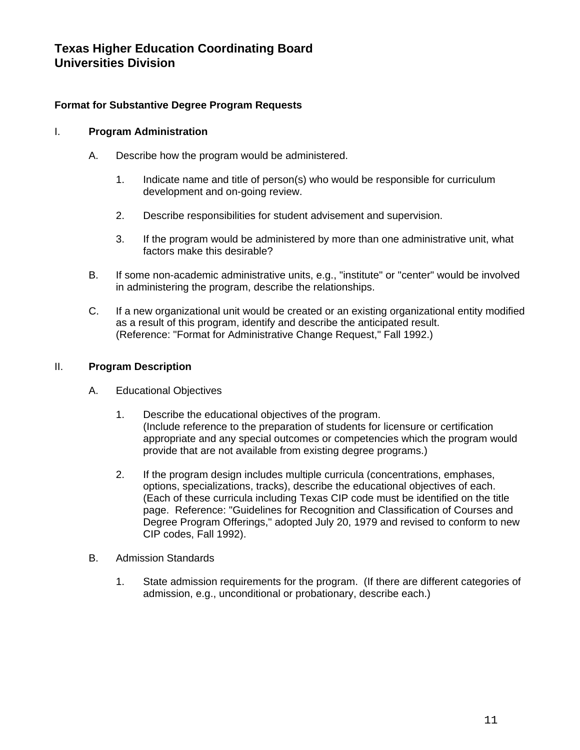## **Format for Substantive Degree Program Requests**

#### I. **Program Administration**

- A. Describe how the program would be administered.
	- 1. Indicate name and title of person(s) who would be responsible for curriculum development and on-going review.
	- 2. Describe responsibilities for student advisement and supervision.
	- 3. If the program would be administered by more than one administrative unit, what factors make this desirable?
- B. If some non-academic administrative units, e.g., "institute" or "center" would be involved in administering the program, describe the relationships.
- C. If a new organizational unit would be created or an existing organizational entity modified as a result of this program, identify and describe the anticipated result. (Reference: "Format for Administrative Change Request," Fall 1992.)

#### II. **Program Description**

- A. Educational Objectives
	- 1. Describe the educational objectives of the program. (Include reference to the preparation of students for licensure or certification appropriate and any special outcomes or competencies which the program would provide that are not available from existing degree programs.)
	- 2. If the program design includes multiple curricula (concentrations, emphases, options, specializations, tracks), describe the educational objectives of each. (Each of these curricula including Texas CIP code must be identified on the title page. Reference: "Guidelines for Recognition and Classification of Courses and Degree Program Offerings," adopted July 20, 1979 and revised to conform to new CIP codes, Fall 1992).
- B. Admission Standards
	- 1. State admission requirements for the program. (If there are different categories of admission, e.g., unconditional or probationary, describe each.)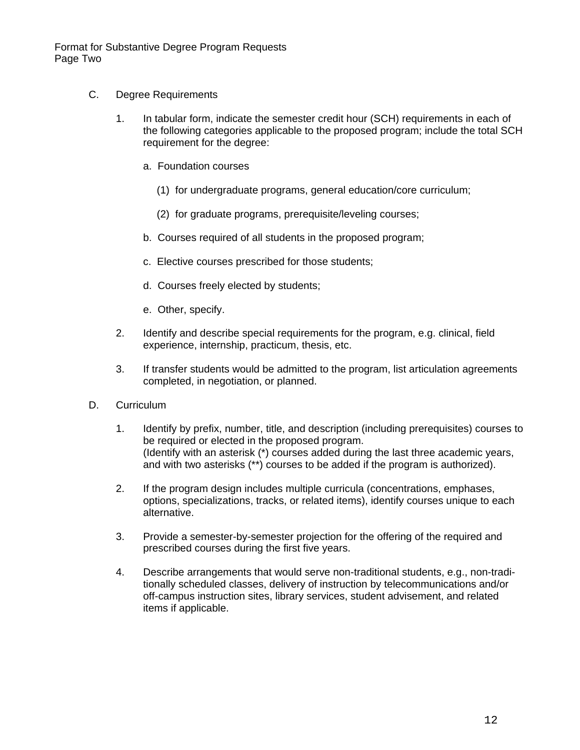Format for Substantive Degree Program Requests Page Two

- C. Degree Requirements
	- 1. In tabular form, indicate the semester credit hour (SCH) requirements in each of the following categories applicable to the proposed program; include the total SCH requirement for the degree:
		- a. Foundation courses
			- (1) for undergraduate programs, general education/core curriculum;
			- (2) for graduate programs, prerequisite/leveling courses;
		- b. Courses required of all students in the proposed program;
		- c. Elective courses prescribed for those students;
		- d. Courses freely elected by students;
		- e. Other, specify.
	- 2. Identify and describe special requirements for the program, e.g. clinical, field experience, internship, practicum, thesis, etc.
	- 3. If transfer students would be admitted to the program, list articulation agreements completed, in negotiation, or planned.
- D. Curriculum
	- 1. Identify by prefix, number, title, and description (including prerequisites) courses to be required or elected in the proposed program. (Identify with an asterisk (\*) courses added during the last three academic years, and with two asterisks (\*\*) courses to be added if the program is authorized).
	- 2. If the program design includes multiple curricula (concentrations, emphases, options, specializations, tracks, or related items), identify courses unique to each alternative.
	- 3. Provide a semester-by-semester projection for the offering of the required and prescribed courses during the first five years.
	- 4. Describe arrangements that would serve non-traditional students, e.g., non-traditionally scheduled classes, delivery of instruction by telecommunications and/or off-campus instruction sites, library services, student advisement, and related items if applicable.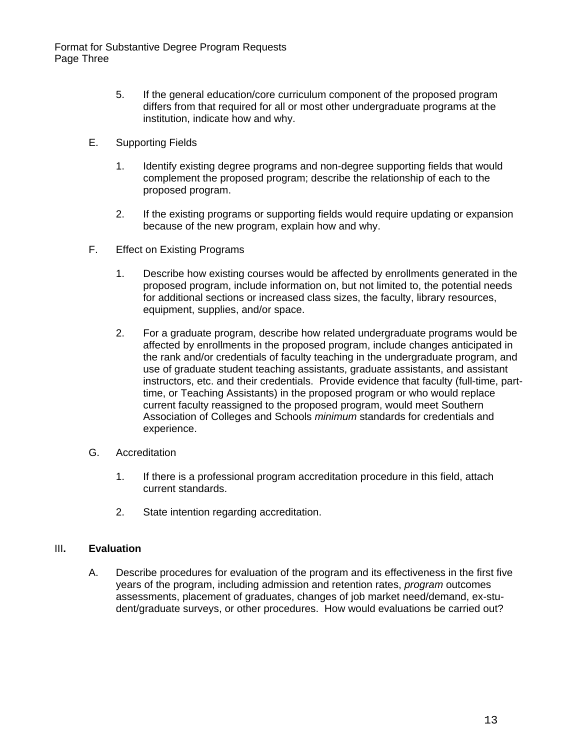- 5. If the general education/core curriculum component of the proposed program differs from that required for all or most other undergraduate programs at the institution, indicate how and why.
- E. Supporting Fields
	- 1. Identify existing degree programs and non-degree supporting fields that would complement the proposed program; describe the relationship of each to the proposed program.
	- 2. If the existing programs or supporting fields would require updating or expansion because of the new program, explain how and why.
- F. Effect on Existing Programs
	- 1. Describe how existing courses would be affected by enrollments generated in the proposed program, include information on, but not limited to, the potential needs for additional sections or increased class sizes, the faculty, library resources, equipment, supplies, and/or space.
	- 2. For a graduate program, describe how related undergraduate programs would be affected by enrollments in the proposed program, include changes anticipated in the rank and/or credentials of faculty teaching in the undergraduate program, and use of graduate student teaching assistants, graduate assistants, and assistant instructors, etc. and their credentials. Provide evidence that faculty (full-time, parttime, or Teaching Assistants) in the proposed program or who would replace current faculty reassigned to the proposed program, would meet Southern Association of Colleges and Schools *minimum* standards for credentials and experience.
- G. Accreditation
	- 1. If there is a professional program accreditation procedure in this field, attach current standards.
	- 2. State intention regarding accreditation.

#### III**. Evaluation**

A. Describe procedures for evaluation of the program and its effectiveness in the first five years of the program, including admission and retention rates, *program* outcomes assessments, placement of graduates, changes of job market need/demand, ex-student/graduate surveys, or other procedures. How would evaluations be carried out?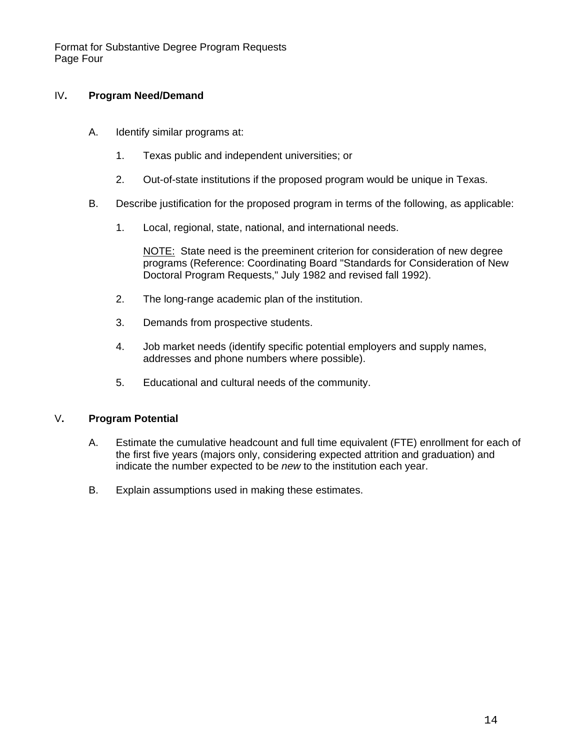Format for Substantive Degree Program Requests Page Four

#### IV**. Program Need/Demand**

- A. Identify similar programs at:
	- 1. Texas public and independent universities; or
	- 2. Out-of-state institutions if the proposed program would be unique in Texas.
- B. Describe justification for the proposed program in terms of the following, as applicable:
	- 1. Local, regional, state, national, and international needs.

NOTE: State need is the preeminent criterion for consideration of new degree programs (Reference: Coordinating Board "Standards for Consideration of New Doctoral Program Requests," July 1982 and revised fall 1992).

- 2. The long-range academic plan of the institution.
- 3. Demands from prospective students.
- 4. Job market needs (identify specific potential employers and supply names, addresses and phone numbers where possible).
- 5. Educational and cultural needs of the community.

#### V**. Program Potential**

- A. Estimate the cumulative headcount and full time equivalent (FTE) enrollment for each of the first five years (majors only, considering expected attrition and graduation) and indicate the number expected to be *new* to the institution each year.
- B. Explain assumptions used in making these estimates.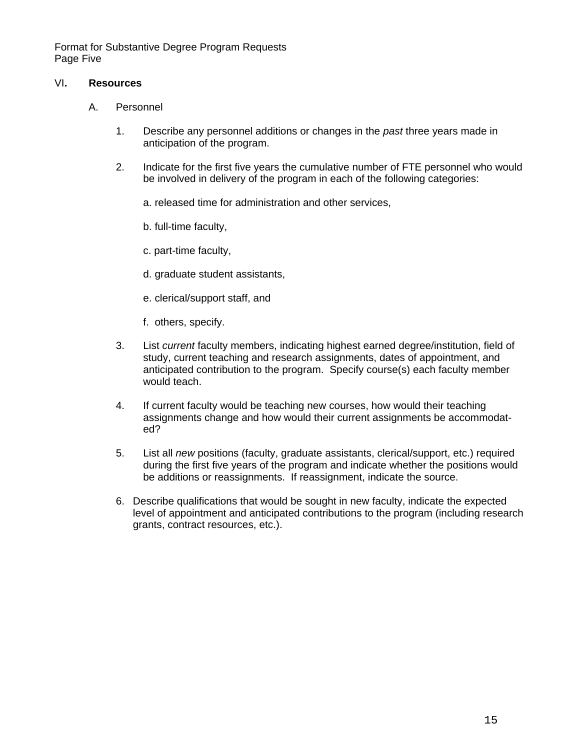Format for Substantive Degree Program Requests Page Five

#### VI**. Resources**

- A. Personnel
	- 1. Describe any personnel additions or changes in the *past* three years made in anticipation of the program.
	- 2. Indicate for the first five years the cumulative number of FTE personnel who would be involved in delivery of the program in each of the following categories:
		- a. released time for administration and other services,
		- b. full-time faculty,
		- c. part-time faculty,
		- d. graduate student assistants,
		- e. clerical/support staff, and
		- f. others, specify.
	- 3. List *current* faculty members, indicating highest earned degree/institution, field of study, current teaching and research assignments, dates of appointment, and anticipated contribution to the program. Specify course(s) each faculty member would teach.
	- 4. If current faculty would be teaching new courses, how would their teaching assignments change and how would their current assignments be accommodated?
	- 5. List all *new* positions (faculty, graduate assistants, clerical/support, etc.) required during the first five years of the program and indicate whether the positions would be additions or reassignments. If reassignment, indicate the source.
	- 6. Describe qualifications that would be sought in new faculty, indicate the expected level of appointment and anticipated contributions to the program (including research grants, contract resources, etc.).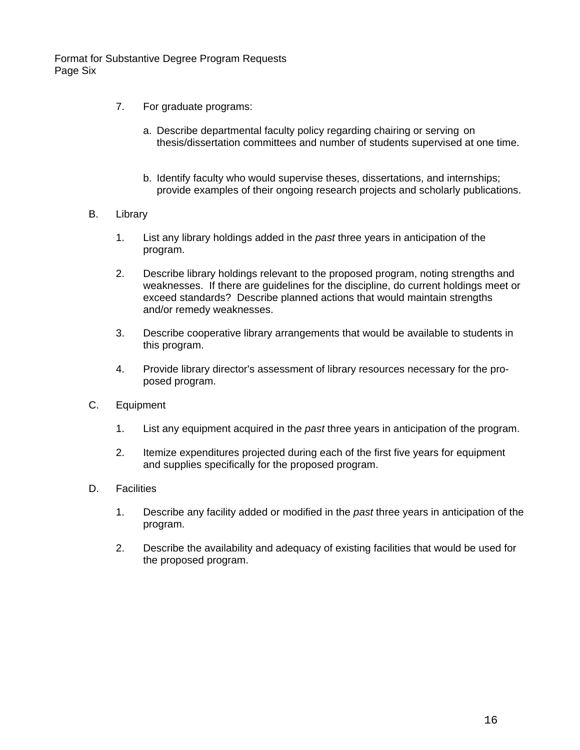Format for Substantive Degree Program Requests Page Six

- 7. For graduate programs:
	- a. Describe departmental faculty policy regarding chairing or serving on thesis/dissertation committees and number of students supervised at one time.
	- b. Identify faculty who would supervise theses, dissertations, and internships; provide examples of their ongoing research projects and scholarly publications.
- B. Library
	- 1. List any library holdings added in the *past* three years in anticipation of the program.
	- 2. Describe library holdings relevant to the proposed program, noting strengths and weaknesses. If there are guidelines for the discipline, do current holdings meet or exceed standards? Describe planned actions that would maintain strengths and/or remedy weaknesses.
	- 3. Describe cooperative library arrangements that would be available to students in this program.
	- 4. Provide library director's assessment of library resources necessary for the proposed program.
- C. Equipment
	- 1. List any equipment acquired in the *past* three years in anticipation of the program.
	- 2. Itemize expenditures projected during each of the first five years for equipment and supplies specifically for the proposed program.
- D. Facilities
	- 1. Describe any facility added or modified in the *past* three years in anticipation of the program.
	- 2. Describe the availability and adequacy of existing facilities that would be used for the proposed program.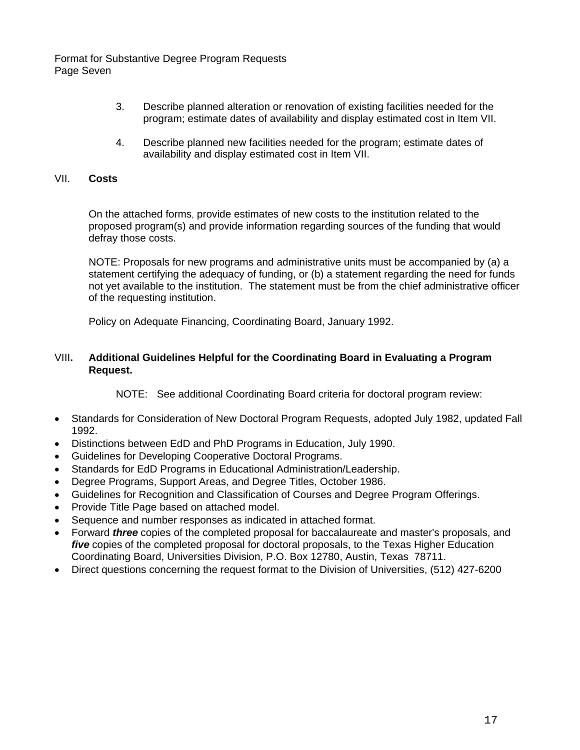Format for Substantive Degree Program Requests Page Seven

- 3. Describe planned alteration or renovation of existing facilities needed for the program; estimate dates of availability and display estimated cost in Item VII.
- 4. Describe planned new facilities needed for the program; estimate dates of availability and display estimated cost in Item VII.

#### VII. **Costs**

On the attached forms, provide estimates of new costs to the institution related to the proposed program(s) and provide information regarding sources of the funding that would defray those costs.

NOTE: Proposals for new programs and administrative units must be accompanied by (a) a statement certifying the adequacy of funding, or (b) a statement regarding the need for funds not yet available to the institution. The statement must be from the chief administrative officer of the requesting institution.

Policy on Adequate Financing, Coordinating Board, January 1992.

#### VIII**. Additional Guidelines Helpful for the Coordinating Board in Evaluating a Program Request.**

NOTE: See additional Coordinating Board criteria for doctoral program review:

- Standards for Consideration of New Doctoral Program Requests, adopted July 1982, updated Fall 1992.
- Distinctions between EdD and PhD Programs in Education, July 1990.
- Guidelines for Developing Cooperative Doctoral Programs.
- Standards for EdD Programs in Educational Administration/Leadership.
- Degree Programs, Support Areas, and Degree Titles, October 1986.
- Guidelines for Recognition and Classification of Courses and Degree Program Offerings.
- Provide Title Page based on attached model.
- Sequence and number responses as indicated in attached format.
- Forward *three* copies of the completed proposal for baccalaureate and master's proposals, and *five* copies of the completed proposal for doctoral proposals, to the Texas Higher Education Coordinating Board, Universities Division, P.O. Box 12780, Austin, Texas 78711.
- Direct questions concerning the request format to the Division of Universities, (512) 427-6200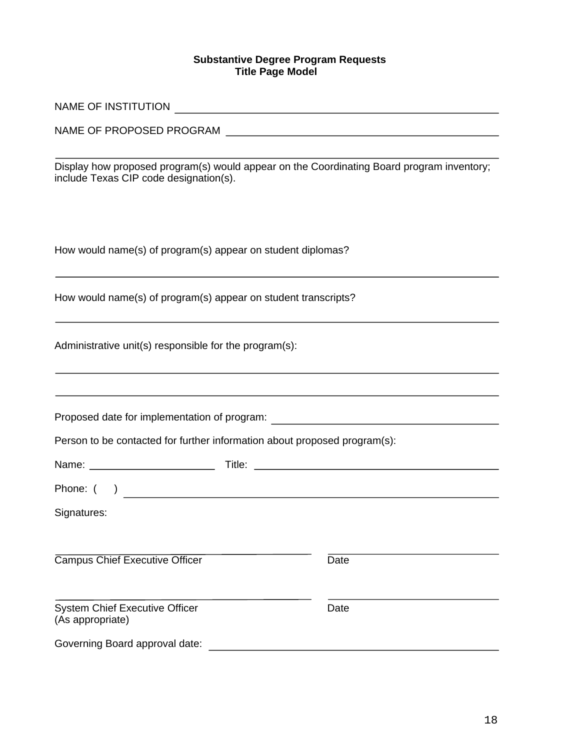#### **Substantive Degree Program Requests Title Page Model**

| include Texas CIP code designation(s).                                                                                                     | Display how proposed program(s) would appear on the Coordinating Board program inventory;                             |
|--------------------------------------------------------------------------------------------------------------------------------------------|-----------------------------------------------------------------------------------------------------------------------|
| How would name(s) of program(s) appear on student diplomas?                                                                                |                                                                                                                       |
| How would name(s) of program(s) appear on student transcripts?                                                                             |                                                                                                                       |
| Administrative unit(s) responsible for the program(s):<br>,我们也不会有什么。""我们的人,我们也不会有什么?""我们的人,我们也不会有什么?""我们的人,我们也不会有什么?""我们的人,我们也不会有什么?""我们的人 |                                                                                                                       |
|                                                                                                                                            | Proposed date for implementation of program: ___________________________________                                      |
| Person to be contacted for further information about proposed program(s):                                                                  |                                                                                                                       |
|                                                                                                                                            |                                                                                                                       |
| Phone: $($ )                                                                                                                               | <u>and the state of the state of the state of the state of the state of the state of the state of the state of th</u> |
| Signatures:                                                                                                                                |                                                                                                                       |
| Campus Chief Executive Officer                                                                                                             | Date                                                                                                                  |
| <b>System Chief Executive Officer</b><br>(As appropriate)                                                                                  | Date                                                                                                                  |
| Governing Board approval date:                                                                                                             |                                                                                                                       |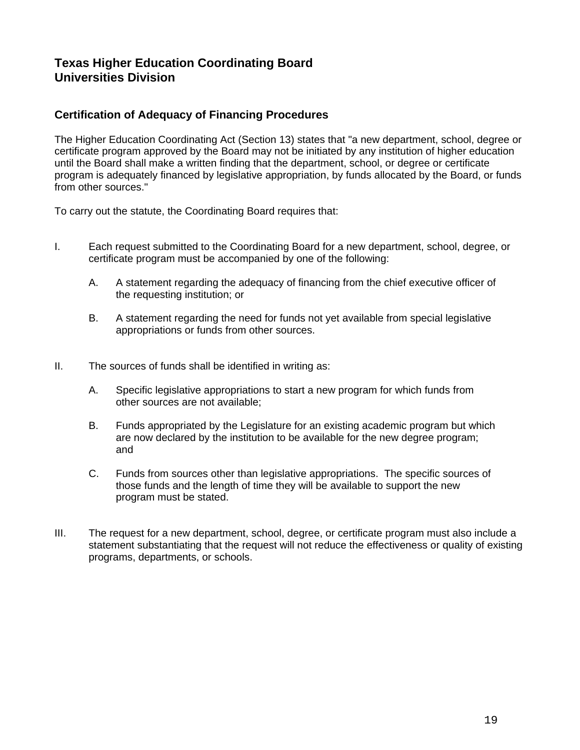## **Certification of Adequacy of Financing Procedures**

The Higher Education Coordinating Act (Section 13) states that "a new department, school, degree or certificate program approved by the Board may not be initiated by any institution of higher education until the Board shall make a written finding that the department, school, or degree or certificate program is adequately financed by legislative appropriation, by funds allocated by the Board, or funds from other sources."

To carry out the statute, the Coordinating Board requires that:

- I. Each request submitted to the Coordinating Board for a new department, school, degree, or certificate program must be accompanied by one of the following:
	- A. A statement regarding the adequacy of financing from the chief executive officer of the requesting institution; or
	- B. A statement regarding the need for funds not yet available from special legislative appropriations or funds from other sources.
- II. The sources of funds shall be identified in writing as:
	- A. Specific legislative appropriations to start a new program for which funds from other sources are not available;
	- B. Funds appropriated by the Legislature for an existing academic program but which are now declared by the institution to be available for the new degree program; and
	- C. Funds from sources other than legislative appropriations. The specific sources of those funds and the length of time they will be available to support the new program must be stated.
- III. The request for a new department, school, degree, or certificate program must also include a statement substantiating that the request will not reduce the effectiveness or quality of existing programs, departments, or schools.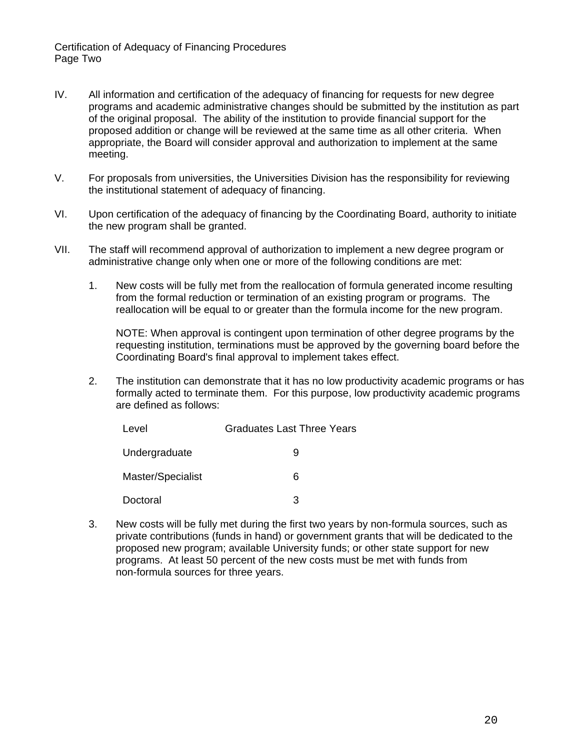Certification of Adequacy of Financing Procedures Page Two

- IV. All information and certification of the adequacy of financing for requests for new degree programs and academic administrative changes should be submitted by the institution as part of the original proposal. The ability of the institution to provide financial support for the proposed addition or change will be reviewed at the same time as all other criteria. When appropriate, the Board will consider approval and authorization to implement at the same meeting.
- V. For proposals from universities, the Universities Division has the responsibility for reviewing the institutional statement of adequacy of financing.
- VI. Upon certification of the adequacy of financing by the Coordinating Board, authority to initiate the new program shall be granted.
- VII. The staff will recommend approval of authorization to implement a new degree program or administrative change only when one or more of the following conditions are met:
	- 1. New costs will be fully met from the reallocation of formula generated income resulting from the formal reduction or termination of an existing program or programs. The reallocation will be equal to or greater than the formula income for the new program.

NOTE: When approval is contingent upon termination of other degree programs by the requesting institution, terminations must be approved by the governing board before the Coordinating Board's final approval to implement takes effect.

2. The institution can demonstrate that it has no low productivity academic programs or has formally acted to terminate them. For this purpose, low productivity academic programs are defined as follows:

| Level             | <b>Graduates Last Three Years</b> |
|-------------------|-----------------------------------|
| Undergraduate     | 9                                 |
| Master/Specialist | 6                                 |
| Doctoral          | 3                                 |

3. New costs will be fully met during the first two years by non-formula sources, such as private contributions (funds in hand) or government grants that will be dedicated to the proposed new program; available University funds; or other state support for new programs. At least 50 percent of the new costs must be met with funds from non-formula sources for three years.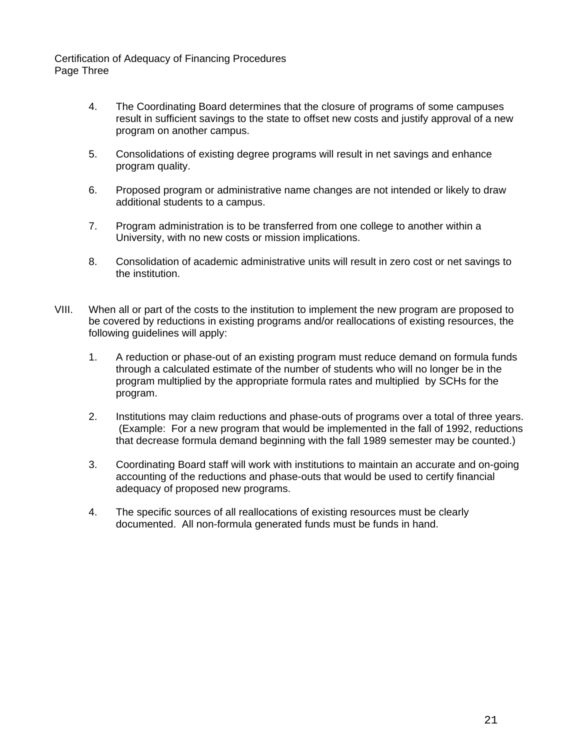Certification of Adequacy of Financing Procedures Page Three

- 4. The Coordinating Board determines that the closure of programs of some campuses result in sufficient savings to the state to offset new costs and justify approval of a new program on another campus.
- 5. Consolidations of existing degree programs will result in net savings and enhance program quality.
- 6. Proposed program or administrative name changes are not intended or likely to draw additional students to a campus.
- 7. Program administration is to be transferred from one college to another within a University, with no new costs or mission implications.
- 8. Consolidation of academic administrative units will result in zero cost or net savings to the institution.
- VIII. When all or part of the costs to the institution to implement the new program are proposed to be covered by reductions in existing programs and/or reallocations of existing resources, the following guidelines will apply:
	- 1. A reduction or phase-out of an existing program must reduce demand on formula funds through a calculated estimate of the number of students who will no longer be in the program multiplied by the appropriate formula rates and multiplied by SCHs for the program.
	- 2. Institutions may claim reductions and phase-outs of programs over a total of three years. (Example: For a new program that would be implemented in the fall of 1992, reductions that decrease formula demand beginning with the fall 1989 semester may be counted.)
	- 3. Coordinating Board staff will work with institutions to maintain an accurate and on-going accounting of the reductions and phase-outs that would be used to certify financial adequacy of proposed new programs.
	- 4. The specific sources of all reallocations of existing resources must be clearly documented. All non-formula generated funds must be funds in hand.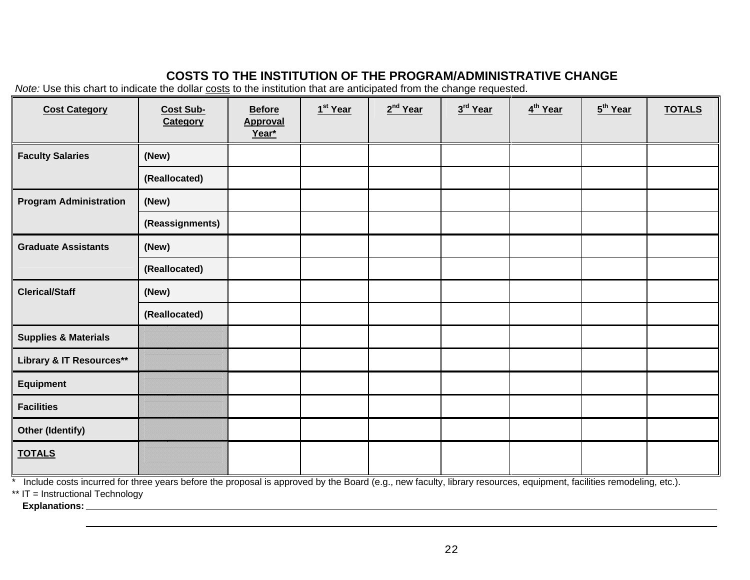# **COSTS TO THE INSTITUTION OF THE PROGRAM/ADMINISTRATIVE CHANGE**

*Note:* Use this chart to indicate the dollar costs to the institution that are anticipated from the change requested.

| <b>Cost Category</b>            | <b>Cost Sub-</b><br>Category | <b>Before</b><br><b>Approval</b><br>Year* | 1 <sup>st</sup> Year | 2 <sup>nd</sup> Year | 3rd Year | 4 <sup>th</sup> Year | 5 <sup>th</sup> Year | <b>TOTALS</b> |
|---------------------------------|------------------------------|-------------------------------------------|----------------------|----------------------|----------|----------------------|----------------------|---------------|
| <b>Faculty Salaries</b>         | (New)                        |                                           |                      |                      |          |                      |                      |               |
|                                 | (Reallocated)                |                                           |                      |                      |          |                      |                      |               |
| <b>Program Administration</b>   | (New)                        |                                           |                      |                      |          |                      |                      |               |
|                                 | (Reassignments)              |                                           |                      |                      |          |                      |                      |               |
| <b>Graduate Assistants</b>      | (New)                        |                                           |                      |                      |          |                      |                      |               |
|                                 | (Reallocated)                |                                           |                      |                      |          |                      |                      |               |
| <b>Clerical/Staff</b>           | (New)                        |                                           |                      |                      |          |                      |                      |               |
|                                 | (Reallocated)                |                                           |                      |                      |          |                      |                      |               |
| <b>Supplies &amp; Materials</b> |                              |                                           |                      |                      |          |                      |                      |               |
| Library & IT Resources**        |                              |                                           |                      |                      |          |                      |                      |               |
| <b>Equipment</b>                |                              |                                           |                      |                      |          |                      |                      |               |
| <b>Facilities</b>               |                              |                                           |                      |                      |          |                      |                      |               |
| <b>Other (Identify)</b>         |                              |                                           |                      |                      |          |                      |                      |               |
| <b>TOTALS</b>                   |                              |                                           |                      |                      |          |                      |                      |               |

<u>onder the proposal is approved by the Board (e.g., new faculty, library resources, equipment, facilities remodeling, etc.).<br>This limit of the action of three years before the proposal is approved by the Board (e.g., new f</u>

\*\* IT = Instructional Technology

 **Explanations:**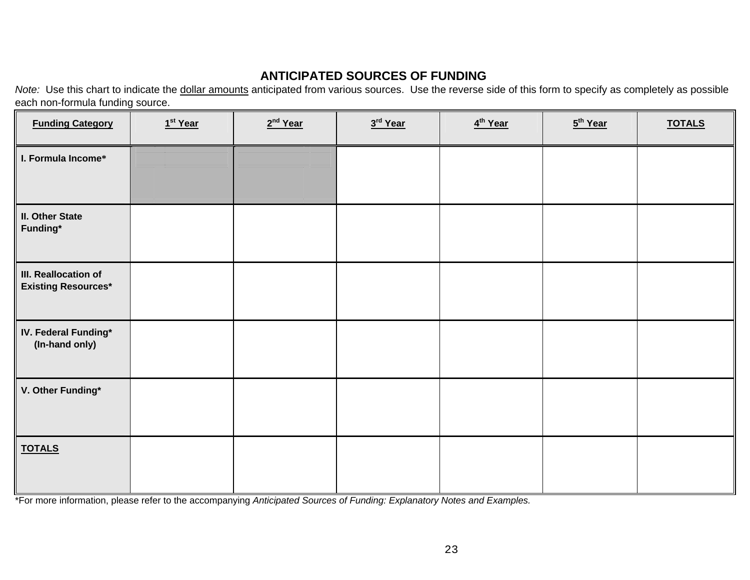# **ANTICIPATED SOURCES OF FUNDING**

*Note:* Use this chart to indicate the dollar amounts anticipated from various sources. Use the reverse side of this form to specify as completely as possible each non-formula funding source.

| <b>Funding Category</b>                            | $1st$ Year | $2nd$ Year | 3 <sup>rd</sup> Year | 4 <sup>th</sup> Year | 5 <sup>th</sup> Year | <b>TOTALS</b> |
|----------------------------------------------------|------------|------------|----------------------|----------------------|----------------------|---------------|
| I. Formula Income*                                 |            |            |                      |                      |                      |               |
| <b>II. Other State</b><br>Funding*                 |            |            |                      |                      |                      |               |
| III. Reallocation of<br><b>Existing Resources*</b> |            |            |                      |                      |                      |               |
| IV. Federal Funding*<br>(In-hand only)             |            |            |                      |                      |                      |               |
| V. Other Funding*                                  |            |            |                      |                      |                      |               |
| <b>TOTALS</b>                                      |            |            |                      |                      |                      |               |

\*For more information, please refer to the accompanying *Anticipated Sources of Funding: Explanatory Notes and Examples.*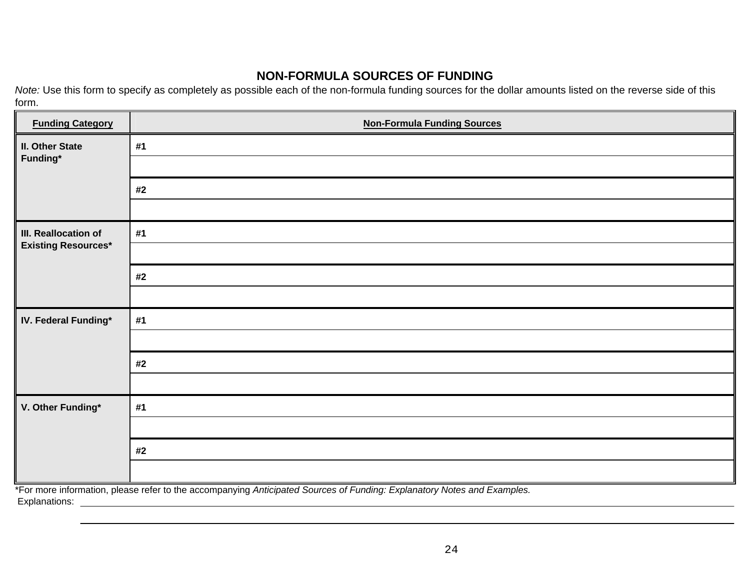# **NON-FORMULA SOURCES OF FUNDING**

*Note:* Use this form to specify as completely as possible each of the non-formula funding sources for the dollar amounts listed on the reverse side of this form.

| <b>Funding Category</b>    | <b>Non-Formula Funding Sources</b>                                                                                      |
|----------------------------|-------------------------------------------------------------------------------------------------------------------------|
| <b>II. Other State</b>     | #1                                                                                                                      |
| Funding*                   |                                                                                                                         |
|                            | #2                                                                                                                      |
|                            |                                                                                                                         |
| III. Reallocation of       | #1                                                                                                                      |
| <b>Existing Resources*</b> |                                                                                                                         |
|                            | #2                                                                                                                      |
|                            |                                                                                                                         |
| IV. Federal Funding*       | #1                                                                                                                      |
|                            |                                                                                                                         |
|                            | #2                                                                                                                      |
|                            |                                                                                                                         |
| V. Other Funding*          | #1                                                                                                                      |
|                            |                                                                                                                         |
|                            | #2                                                                                                                      |
|                            |                                                                                                                         |
|                            | *For more information, please refer to the accompanying Anticipated Sources of Funding: Explanatory Notes and Examples. |

Explanations: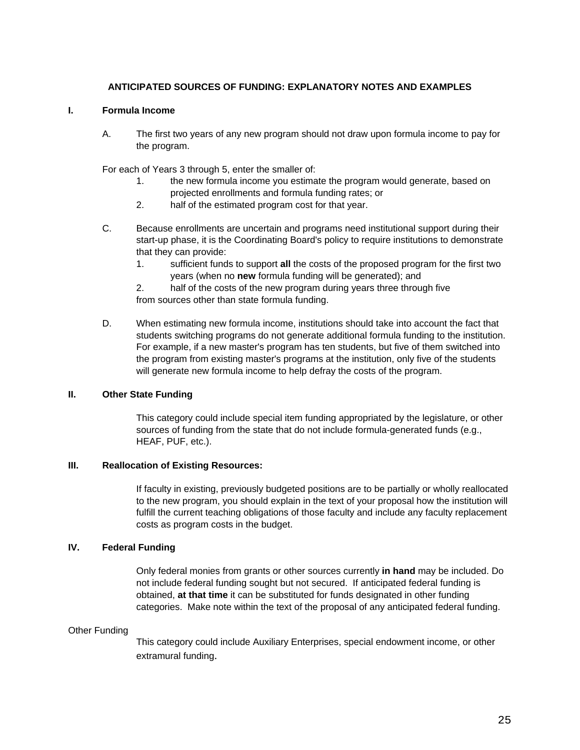#### **ANTICIPATED SOURCES OF FUNDING: EXPLANATORY NOTES AND EXAMPLES**

#### **I. Formula Income**

A. The first two years of any new program should not draw upon formula income to pay for the program.

For each of Years 3 through 5, enter the smaller of:

- 1. the new formula income you estimate the program would generate, based on projected enrollments and formula funding rates; or
- 2. half of the estimated program cost for that year.
- C. Because enrollments are uncertain and programs need institutional support during their start-up phase, it is the Coordinating Board's policy to require institutions to demonstrate that they can provide:
	- 1. sufficient funds to support **all** the costs of the proposed program for the first two years (when no **new** formula funding will be generated); and

2. half of the costs of the new program during years three through five from sources other than state formula funding.

D. When estimating new formula income, institutions should take into account the fact that students switching programs do not generate additional formula funding to the institution. For example, if a new master's program has ten students, but five of them switched into the program from existing master's programs at the institution, only five of the students will generate new formula income to help defray the costs of the program.

#### **II. Other State Funding**

This category could include special item funding appropriated by the legislature, or other sources of funding from the state that do not include formula-generated funds (e.g., HEAF, PUF, etc.).

#### **III. Reallocation of Existing Resources:**

If faculty in existing, previously budgeted positions are to be partially or wholly reallocated to the new program, you should explain in the text of your proposal how the institution will fulfill the current teaching obligations of those faculty and include any faculty replacement costs as program costs in the budget.

#### **IV. Federal Funding**

Only federal monies from grants or other sources currently **in hand** may be included. Do not include federal funding sought but not secured. If anticipated federal funding is obtained, **at that time** it can be substituted for funds designated in other funding categories. Make note within the text of the proposal of any anticipated federal funding.

#### Other Funding

This category could include Auxiliary Enterprises, special endowment income, or other extramural funding.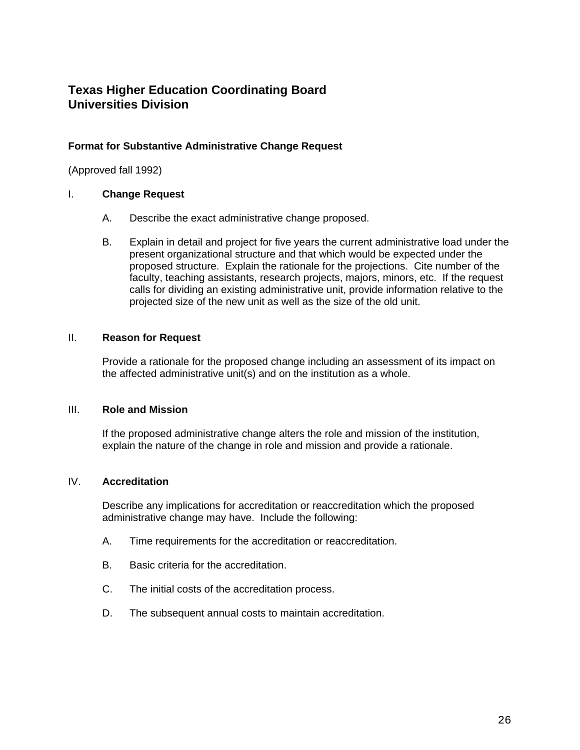#### **Format for Substantive Administrative Change Request**

(Approved fall 1992)

#### I. **Change Request**

- A. Describe the exact administrative change proposed.
- B. Explain in detail and project for five years the current administrative load under the present organizational structure and that which would be expected under the proposed structure. Explain the rationale for the projections. Cite number of the faculty, teaching assistants, research projects, majors, minors, etc. If the request calls for dividing an existing administrative unit, provide information relative to the projected size of the new unit as well as the size of the old unit.

#### II. **Reason for Request**

Provide a rationale for the proposed change including an assessment of its impact on the affected administrative unit(s) and on the institution as a whole.

#### III. **Role and Mission**

If the proposed administrative change alters the role and mission of the institution, explain the nature of the change in role and mission and provide a rationale.

#### IV. **Accreditation**

Describe any implications for accreditation or reaccreditation which the proposed administrative change may have. Include the following:

- A. Time requirements for the accreditation or reaccreditation.
- B. Basic criteria for the accreditation.
- C. The initial costs of the accreditation process.
- D. The subsequent annual costs to maintain accreditation.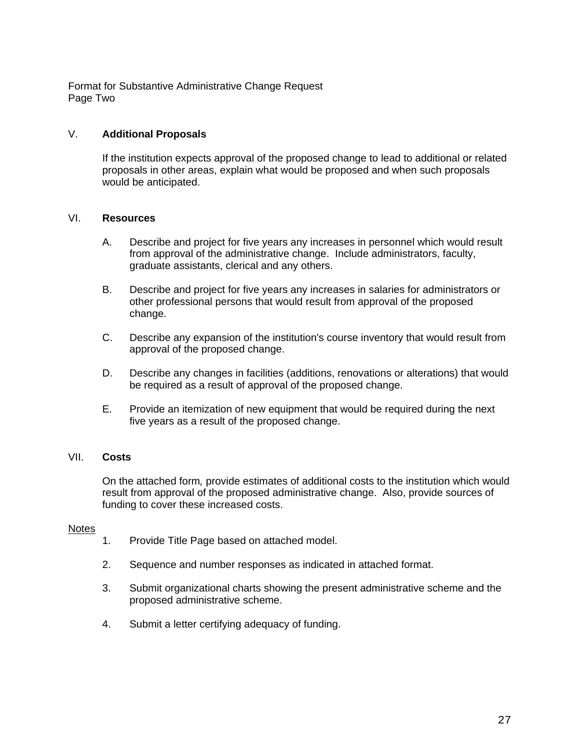Format for Substantive Administrative Change Request Page Two

#### V. **Additional Proposals**

If the institution expects approval of the proposed change to lead to additional or related proposals in other areas, explain what would be proposed and when such proposals would be anticipated.

#### VI. **Resources**

- A. Describe and project for five years any increases in personnel which would result from approval of the administrative change. Include administrators, faculty, graduate assistants, clerical and any others.
- B. Describe and project for five years any increases in salaries for administrators or other professional persons that would result from approval of the proposed change.
- C. Describe any expansion of the institution's course inventory that would result from approval of the proposed change.
- D. Describe any changes in facilities (additions, renovations or alterations) that would be required as a result of approval of the proposed change.
- E. Provide an itemization of new equipment that would be required during the next five years as a result of the proposed change.

#### VII. **Costs**

On the attached form*,* provide estimates of additional costs to the institution which would result from approval of the proposed administrative change. Also, provide sources of funding to cover these increased costs.

#### **Notes**

- 1. Provide Title Page based on attached model.
- 2. Sequence and number responses as indicated in attached format.
- 3. Submit organizational charts showing the present administrative scheme and the proposed administrative scheme.
- 4. Submit a letter certifying adequacy of funding.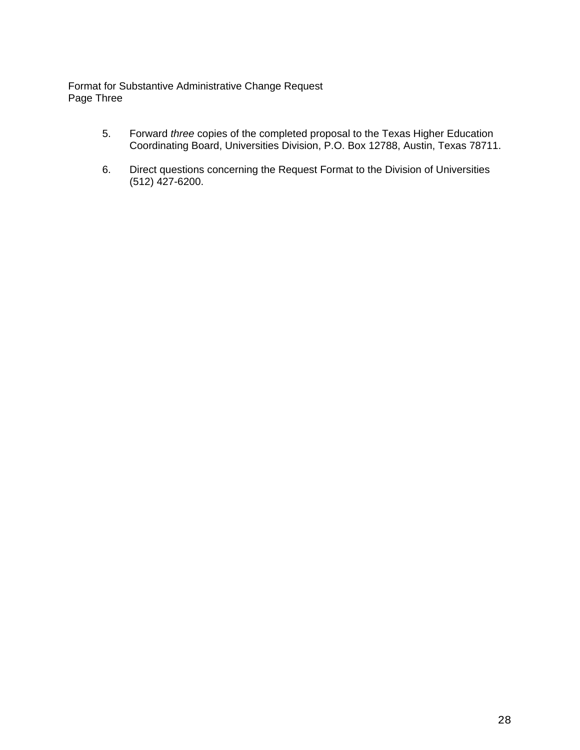Format for Substantive Administrative Change Request Page Three

- 5. Forward *three* copies of the completed proposal to the Texas Higher Education Coordinating Board, Universities Division, P.O. Box 12788, Austin, Texas 78711.
- 6. Direct questions concerning the Request Format to the Division of Universities (512) 427-6200.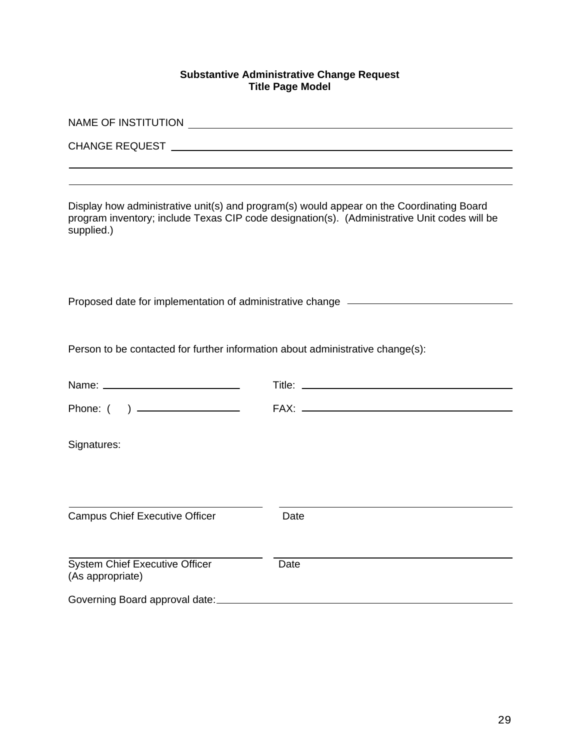#### **Substantive Administrative Change Request Title Page Model**

| supplied.)                                                                     | Display how administrative unit(s) and program(s) would appear on the Coordinating Board<br>program inventory; include Texas CIP code designation(s). (Administrative Unit codes will be |  |  |  |  |  |
|--------------------------------------------------------------------------------|------------------------------------------------------------------------------------------------------------------------------------------------------------------------------------------|--|--|--|--|--|
|                                                                                | Proposed date for implementation of administrative change ______________________                                                                                                         |  |  |  |  |  |
| Person to be contacted for further information about administrative change(s): |                                                                                                                                                                                          |  |  |  |  |  |
|                                                                                |                                                                                                                                                                                          |  |  |  |  |  |
|                                                                                |                                                                                                                                                                                          |  |  |  |  |  |
| Signatures:                                                                    |                                                                                                                                                                                          |  |  |  |  |  |
| <b>Campus Chief Executive Officer</b>                                          | Date                                                                                                                                                                                     |  |  |  |  |  |
| System Chief Executive Officer<br>(As appropriate)                             | Date                                                                                                                                                                                     |  |  |  |  |  |
| Governing Board approval date:                                                 |                                                                                                                                                                                          |  |  |  |  |  |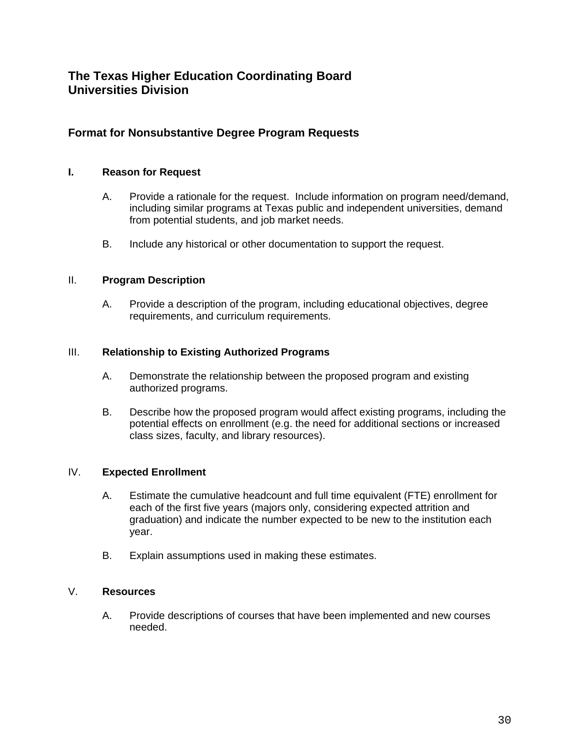## **Format for Nonsubstantive Degree Program Requests**

#### **I. Reason for Request**

- A. Provide a rationale for the request. Include information on program need/demand, including similar programs at Texas public and independent universities, demand from potential students, and job market needs.
- B. Include any historical or other documentation to support the request.

#### II. **Program Description**

A. Provide a description of the program, including educational objectives, degree requirements, and curriculum requirements.

#### III. **Relationship to Existing Authorized Programs**

- A. Demonstrate the relationship between the proposed program and existing authorized programs.
- B. Describe how the proposed program would affect existing programs, including the potential effects on enrollment (e.g. the need for additional sections or increased class sizes, faculty, and library resources).

#### IV. **Expected Enrollment**

- A. Estimate the cumulative headcount and full time equivalent (FTE) enrollment for each of the first five years (majors only, considering expected attrition and graduation) and indicate the number expected to be new to the institution each year.
- B. Explain assumptions used in making these estimates.

#### V. **Resources**

A. Provide descriptions of courses that have been implemented and new courses needed.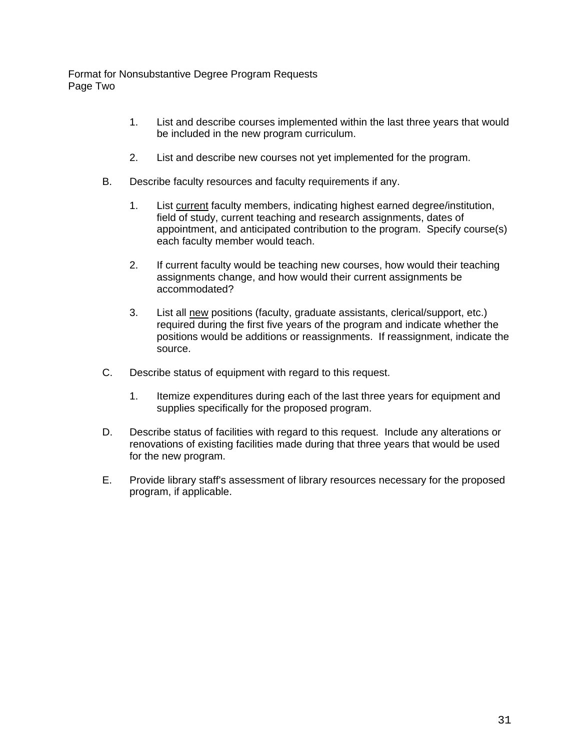Format for Nonsubstantive Degree Program Requests Page Two

- 1. List and describe courses implemented within the last three years that would be included in the new program curriculum.
- 2. List and describe new courses not yet implemented for the program.
- B. Describe faculty resources and faculty requirements if any.
	- 1. List current faculty members, indicating highest earned degree/institution, field of study, current teaching and research assignments, dates of appointment, and anticipated contribution to the program. Specify course(s) each faculty member would teach.
	- 2. If current faculty would be teaching new courses, how would their teaching assignments change, and how would their current assignments be accommodated?
	- 3. List all new positions (faculty, graduate assistants, clerical/support, etc.) required during the first five years of the program and indicate whether the positions would be additions or reassignments. If reassignment, indicate the source.
- C. Describe status of equipment with regard to this request.
	- 1. Itemize expenditures during each of the last three years for equipment and supplies specifically for the proposed program.
- D. Describe status of facilities with regard to this request. Include any alterations or renovations of existing facilities made during that three years that would be used for the new program.
- E. Provide library staff's assessment of library resources necessary for the proposed program, if applicable.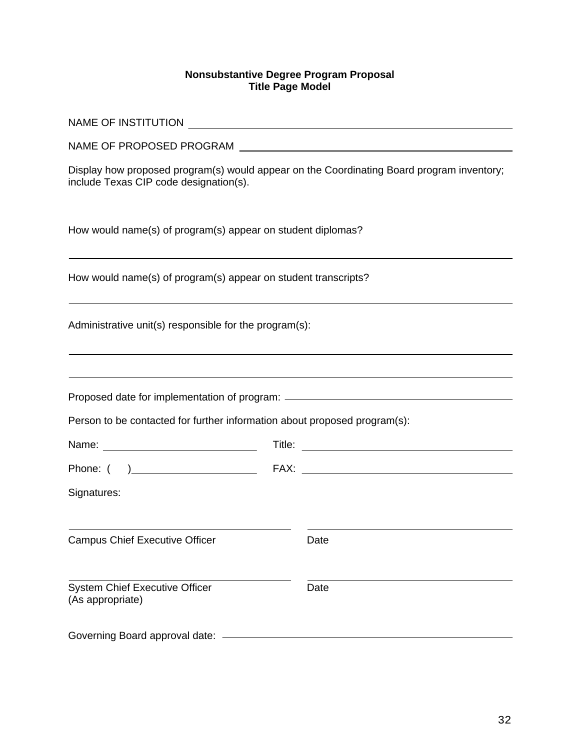#### **Nonsubstantive Degree Program Proposal Title Page Model**

| Display how proposed program(s) would appear on the Coordinating Board program inventory;<br>include Texas CIP code designation(s). |                                                             |                                                                                  |  |  |  |  |
|-------------------------------------------------------------------------------------------------------------------------------------|-------------------------------------------------------------|----------------------------------------------------------------------------------|--|--|--|--|
|                                                                                                                                     | How would name(s) of program(s) appear on student diplomas? |                                                                                  |  |  |  |  |
| How would name(s) of program(s) appear on student transcripts?                                                                      |                                                             |                                                                                  |  |  |  |  |
| Administrative unit(s) responsible for the program(s):                                                                              |                                                             |                                                                                  |  |  |  |  |
|                                                                                                                                     |                                                             |                                                                                  |  |  |  |  |
|                                                                                                                                     |                                                             | Proposed date for implementation of program: ___________________________________ |  |  |  |  |
| Person to be contacted for further information about proposed program(s):                                                           |                                                             |                                                                                  |  |  |  |  |
|                                                                                                                                     |                                                             | Title: <u>www.community.community.com</u>                                        |  |  |  |  |
|                                                                                                                                     |                                                             |                                                                                  |  |  |  |  |
| Signatures:                                                                                                                         |                                                             |                                                                                  |  |  |  |  |
| <b>Campus Chief Executive Officer</b>                                                                                               |                                                             | Date                                                                             |  |  |  |  |
| <b>System Chief Executive Officer</b><br>(As appropriate)                                                                           |                                                             | Date                                                                             |  |  |  |  |
| Governing Board approval date:                                                                                                      |                                                             |                                                                                  |  |  |  |  |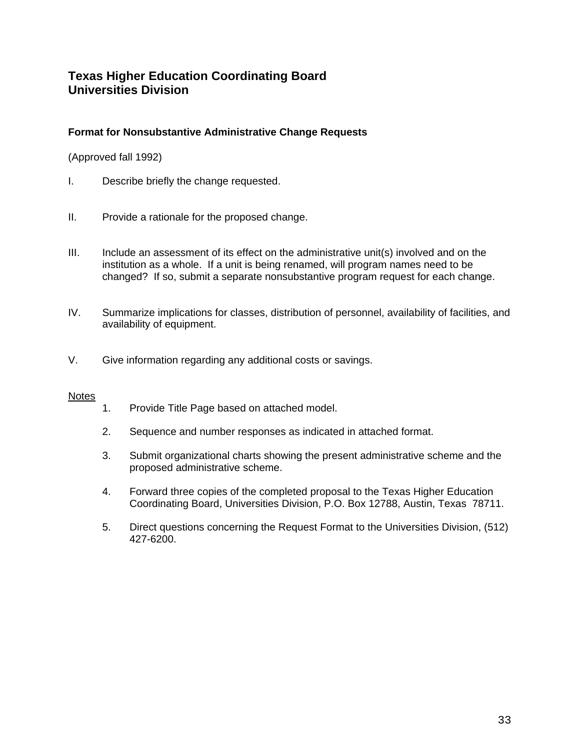## **Format for Nonsubstantive Administrative Change Requests**

(Approved fall 1992)

- I. Describe briefly the change requested.
- II. Provide a rationale for the proposed change.
- III. Include an assessment of its effect on the administrative unit(s) involved and on the institution as a whole. If a unit is being renamed, will program names need to be changed? If so, submit a separate nonsubstantive program request for each change.
- IV. Summarize implications for classes, distribution of personnel, availability of facilities, and availability of equipment.
- V. Give information regarding any additional costs or savings.

#### **Notes**

- 1. Provide Title Page based on attached model.
- 2. Sequence and number responses as indicated in attached format.
- 3. Submit organizational charts showing the present administrative scheme and the proposed administrative scheme.
- 4. Forward three copies of the completed proposal to the Texas Higher Education Coordinating Board, Universities Division, P.O. Box 12788, Austin, Texas 78711.
- 5. Direct questions concerning the Request Format to the Universities Division, (512) 427-6200.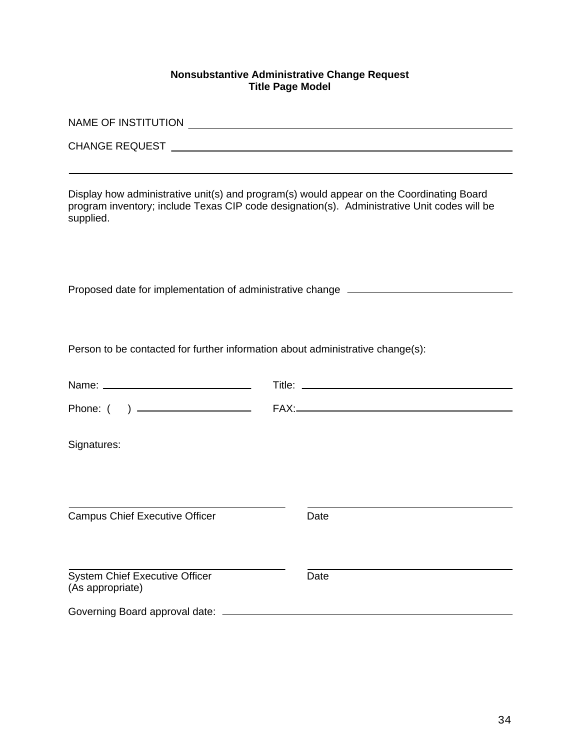#### **Nonsubstantive Administrative Change Request Title Page Model**

|                                                                                |  | Proposed date for implementation of administrative change _______________________ |
|--------------------------------------------------------------------------------|--|-----------------------------------------------------------------------------------|
| Person to be contacted for further information about administrative change(s): |  |                                                                                   |
|                                                                                |  |                                                                                   |
|                                                                                |  |                                                                                   |
| Signatures:                                                                    |  |                                                                                   |
| <b>Campus Chief Executive Officer</b>                                          |  | Date                                                                              |
| <b>System Chief Executive Officer</b><br>(As appropriate)                      |  | Date                                                                              |
| Governing Board approval date:                                                 |  |                                                                                   |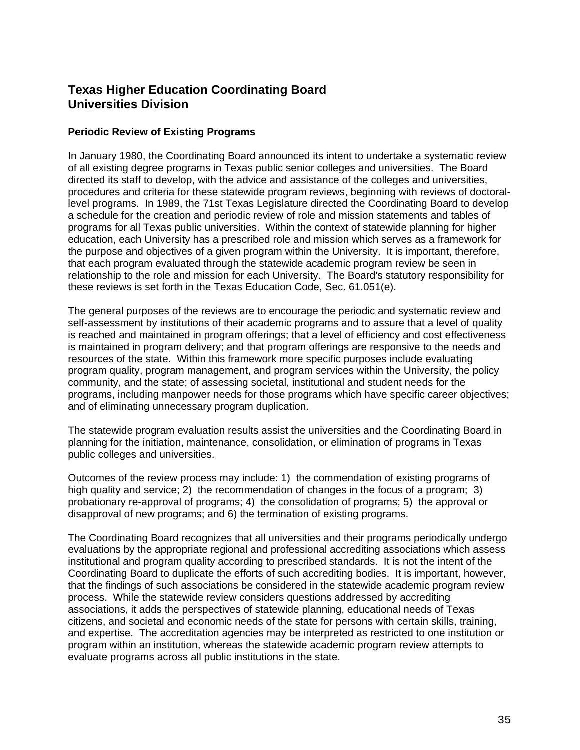#### **Periodic Review of Existing Programs**

In January 1980, the Coordinating Board announced its intent to undertake a systematic review of all existing degree programs in Texas public senior colleges and universities. The Board directed its staff to develop, with the advice and assistance of the colleges and universities, procedures and criteria for these statewide program reviews, beginning with reviews of doctorallevel programs. In 1989, the 71st Texas Legislature directed the Coordinating Board to develop a schedule for the creation and periodic review of role and mission statements and tables of programs for all Texas public universities. Within the context of statewide planning for higher education, each University has a prescribed role and mission which serves as a framework for the purpose and objectives of a given program within the University. It is important, therefore, that each program evaluated through the statewide academic program review be seen in relationship to the role and mission for each University. The Board's statutory responsibility for these reviews is set forth in the Texas Education Code, Sec. 61.051(e).

The general purposes of the reviews are to encourage the periodic and systematic review and self-assessment by institutions of their academic programs and to assure that a level of quality is reached and maintained in program offerings; that a level of efficiency and cost effectiveness is maintained in program delivery; and that program offerings are responsive to the needs and resources of the state. Within this framework more specific purposes include evaluating program quality, program management, and program services within the University, the policy community, and the state; of assessing societal, institutional and student needs for the programs, including manpower needs for those programs which have specific career objectives; and of eliminating unnecessary program duplication.

The statewide program evaluation results assist the universities and the Coordinating Board in planning for the initiation, maintenance, consolidation, or elimination of programs in Texas public colleges and universities.

Outcomes of the review process may include: 1) the commendation of existing programs of high quality and service; 2) the recommendation of changes in the focus of a program; 3) probationary re-approval of programs; 4) the consolidation of programs; 5) the approval or disapproval of new programs; and 6) the termination of existing programs.

The Coordinating Board recognizes that all universities and their programs periodically undergo evaluations by the appropriate regional and professional accrediting associations which assess institutional and program quality according to prescribed standards. It is not the intent of the Coordinating Board to duplicate the efforts of such accrediting bodies. It is important, however, that the findings of such associations be considered in the statewide academic program review process. While the statewide review considers questions addressed by accrediting associations, it adds the perspectives of statewide planning, educational needs of Texas citizens, and societal and economic needs of the state for persons with certain skills, training, and expertise. The accreditation agencies may be interpreted as restricted to one institution or program within an institution, whereas the statewide academic program review attempts to evaluate programs across all public institutions in the state.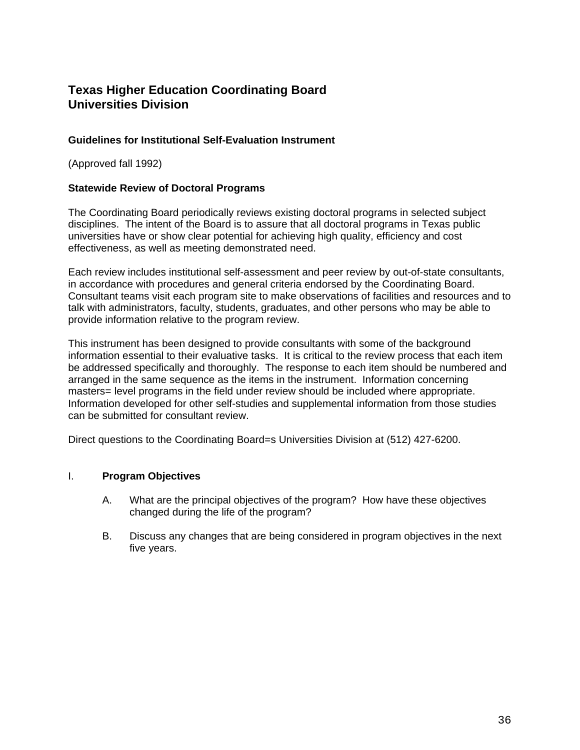## **Guidelines for Institutional Self-Evaluation Instrument**

(Approved fall 1992)

#### **Statewide Review of Doctoral Programs**

The Coordinating Board periodically reviews existing doctoral programs in selected subject disciplines. The intent of the Board is to assure that all doctoral programs in Texas public universities have or show clear potential for achieving high quality, efficiency and cost effectiveness, as well as meeting demonstrated need.

Each review includes institutional self-assessment and peer review by out-of-state consultants, in accordance with procedures and general criteria endorsed by the Coordinating Board. Consultant teams visit each program site to make observations of facilities and resources and to talk with administrators, faculty, students, graduates, and other persons who may be able to provide information relative to the program review.

This instrument has been designed to provide consultants with some of the background information essential to their evaluative tasks. It is critical to the review process that each item be addressed specifically and thoroughly. The response to each item should be numbered and arranged in the same sequence as the items in the instrument. Information concerning masters= level programs in the field under review should be included where appropriate. Information developed for other self-studies and supplemental information from those studies can be submitted for consultant review.

Direct questions to the Coordinating Board=s Universities Division at (512) 427-6200.

#### I. **Program Objectives**

- A. What are the principal objectives of the program? How have these objectives changed during the life of the program?
- B. Discuss any changes that are being considered in program objectives in the next five years.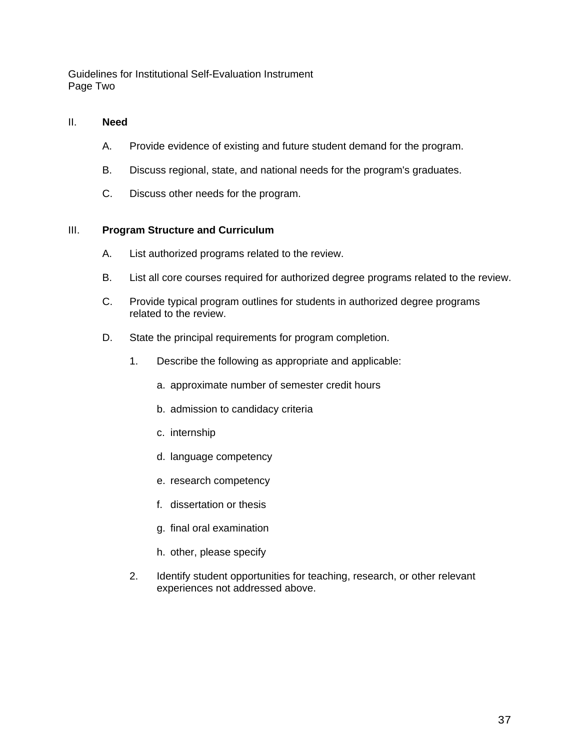Guidelines for Institutional Self-Evaluation Instrument Page Two

#### II. **Need**

- A. Provide evidence of existing and future student demand for the program.
- B. Discuss regional, state, and national needs for the program's graduates.
- C. Discuss other needs for the program.

#### III. **Program Structure and Curriculum**

- A. List authorized programs related to the review.
- B. List all core courses required for authorized degree programs related to the review.
- C. Provide typical program outlines for students in authorized degree programs related to the review.
- D. State the principal requirements for program completion.
	- 1. Describe the following as appropriate and applicable:
		- a. approximate number of semester credit hours
		- b. admission to candidacy criteria
		- c. internship
		- d. language competency
		- e. research competency
		- f. dissertation or thesis
		- g. final oral examination
		- h. other, please specify
	- 2. Identify student opportunities for teaching, research, or other relevant experiences not addressed above.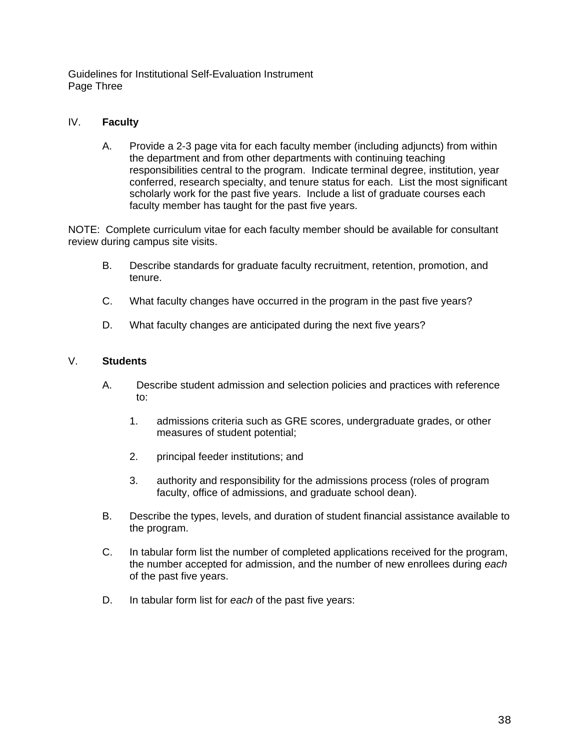Guidelines for Institutional Self-Evaluation Instrument Page Three

#### IV. **Faculty**

A. Provide a 2-3 page vita for each faculty member (including adjuncts) from within the department and from other departments with continuing teaching responsibilities central to the program. Indicate terminal degree, institution, year conferred, research specialty, and tenure status for each. List the most significant scholarly work for the past five years. Include a list of graduate courses each faculty member has taught for the past five years.

NOTE: Complete curriculum vitae for each faculty member should be available for consultant review during campus site visits.

- B. Describe standards for graduate faculty recruitment, retention, promotion, and tenure.
- C. What faculty changes have occurred in the program in the past five years?
- D. What faculty changes are anticipated during the next five years?

## V. **Students**

- A. Describe student admission and selection policies and practices with reference to:
	- 1. admissions criteria such as GRE scores, undergraduate grades, or other measures of student potential;
	- 2. principal feeder institutions; and
	- 3. authority and responsibility for the admissions process (roles of program faculty, office of admissions, and graduate school dean).
- B. Describe the types, levels, and duration of student financial assistance available to the program.
- C. In tabular form list the number of completed applications received for the program, the number accepted for admission, and the number of new enrollees during *each* of the past five years.
- D. In tabular form list for *each* of the past five years: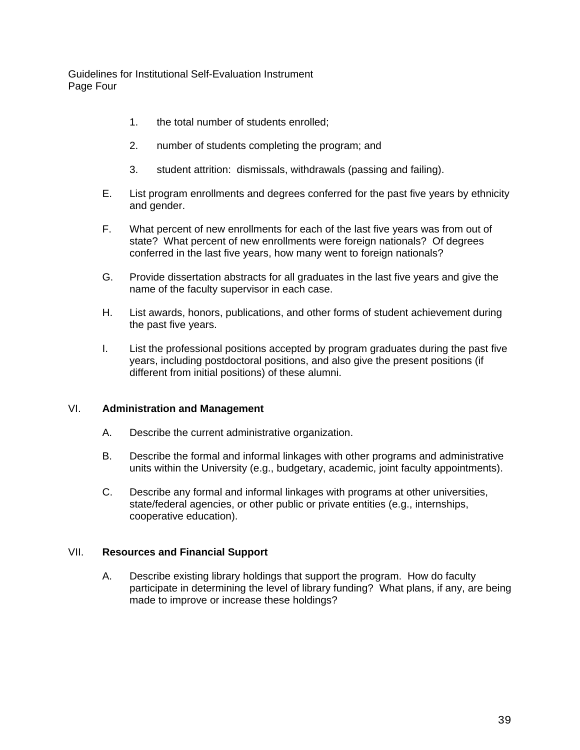Guidelines for Institutional Self-Evaluation Instrument Page Four

- 1. the total number of students enrolled;
- 2. number of students completing the program; and
- 3. student attrition: dismissals, withdrawals (passing and failing).
- E. List program enrollments and degrees conferred for the past five years by ethnicity and gender.
- F. What percent of new enrollments for each of the last five years was from out of state? What percent of new enrollments were foreign nationals? Of degrees conferred in the last five years, how many went to foreign nationals?
- G. Provide dissertation abstracts for all graduates in the last five years and give the name of the faculty supervisor in each case.
- H. List awards, honors, publications, and other forms of student achievement during the past five years.
- I. List the professional positions accepted by program graduates during the past five years, including postdoctoral positions, and also give the present positions (if different from initial positions) of these alumni.

#### VI. **Administration and Management**

- A. Describe the current administrative organization.
- B. Describe the formal and informal linkages with other programs and administrative units within the University (e.g., budgetary, academic, joint faculty appointments).
- C. Describe any formal and informal linkages with programs at other universities, state/federal agencies, or other public or private entities (e.g., internships, cooperative education).

#### VII. **Resources and Financial Support**

A. Describe existing library holdings that support the program. How do faculty participate in determining the level of library funding? What plans, if any, are being made to improve or increase these holdings?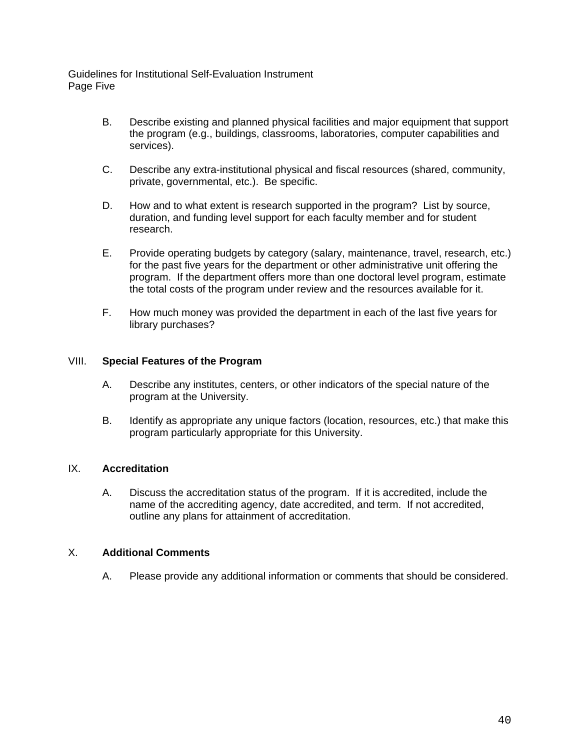Guidelines for Institutional Self-Evaluation Instrument Page Five

- B. Describe existing and planned physical facilities and major equipment that support the program (e.g., buildings, classrooms, laboratories, computer capabilities and services).
- C. Describe any extra-institutional physical and fiscal resources (shared, community, private, governmental, etc.). Be specific.
- D. How and to what extent is research supported in the program? List by source, duration, and funding level support for each faculty member and for student research.
- E. Provide operating budgets by category (salary, maintenance, travel, research, etc.) for the past five years for the department or other administrative unit offering the program. If the department offers more than one doctoral level program, estimate the total costs of the program under review and the resources available for it.
- F. How much money was provided the department in each of the last five years for library purchases?

#### VIII. **Special Features of the Program**

- A. Describe any institutes, centers, or other indicators of the special nature of the program at the University.
- B. Identify as appropriate any unique factors (location, resources, etc.) that make this program particularly appropriate for this University.

#### IX. **Accreditation**

A. Discuss the accreditation status of the program. If it is accredited, include the name of the accrediting agency, date accredited, and term. If not accredited, outline any plans for attainment of accreditation.

#### X. **Additional Comments**

A. Please provide any additional information or comments that should be considered.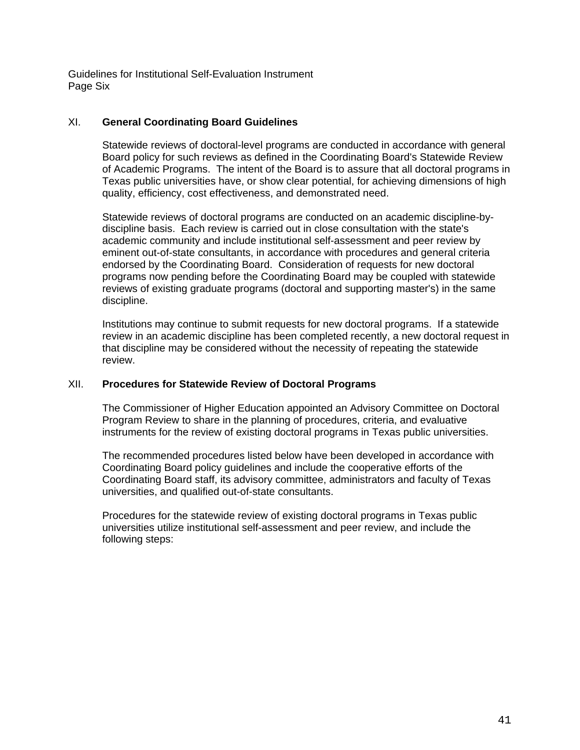Guidelines for Institutional Self-Evaluation Instrument Page Six

#### XI. **General Coordinating Board Guidelines**

Statewide reviews of doctoral-level programs are conducted in accordance with general Board policy for such reviews as defined in the Coordinating Board's Statewide Review of Academic Programs. The intent of the Board is to assure that all doctoral programs in Texas public universities have, or show clear potential, for achieving dimensions of high quality, efficiency, cost effectiveness, and demonstrated need.

Statewide reviews of doctoral programs are conducted on an academic discipline-bydiscipline basis. Each review is carried out in close consultation with the state's academic community and include institutional self-assessment and peer review by eminent out-of-state consultants, in accordance with procedures and general criteria endorsed by the Coordinating Board. Consideration of requests for new doctoral programs now pending before the Coordinating Board may be coupled with statewide reviews of existing graduate programs (doctoral and supporting master's) in the same discipline.

Institutions may continue to submit requests for new doctoral programs. If a statewide review in an academic discipline has been completed recently, a new doctoral request in that discipline may be considered without the necessity of repeating the statewide review.

#### XII. **Procedures for Statewide Review of Doctoral Programs**

The Commissioner of Higher Education appointed an Advisory Committee on Doctoral Program Review to share in the planning of procedures, criteria, and evaluative instruments for the review of existing doctoral programs in Texas public universities.

The recommended procedures listed below have been developed in accordance with Coordinating Board policy guidelines and include the cooperative efforts of the Coordinating Board staff, its advisory committee, administrators and faculty of Texas universities, and qualified out-of-state consultants.

Procedures for the statewide review of existing doctoral programs in Texas public universities utilize institutional self-assessment and peer review, and include the following steps: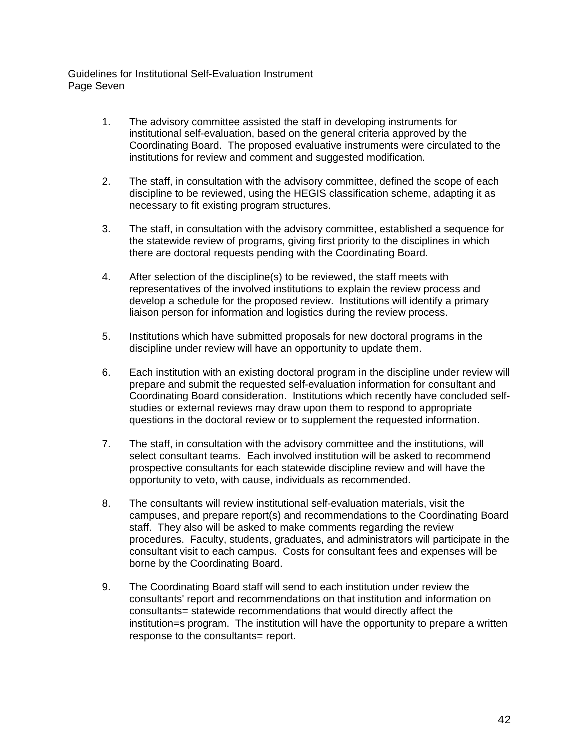Guidelines for Institutional Self-Evaluation Instrument Page Seven

- 1. The advisory committee assisted the staff in developing instruments for institutional self-evaluation, based on the general criteria approved by the Coordinating Board. The proposed evaluative instruments were circulated to the institutions for review and comment and suggested modification.
- 2. The staff, in consultation with the advisory committee, defined the scope of each discipline to be reviewed, using the HEGIS classification scheme, adapting it as necessary to fit existing program structures.
- 3. The staff, in consultation with the advisory committee, established a sequence for the statewide review of programs, giving first priority to the disciplines in which there are doctoral requests pending with the Coordinating Board.
- 4. After selection of the discipline(s) to be reviewed, the staff meets with representatives of the involved institutions to explain the review process and develop a schedule for the proposed review. Institutions will identify a primary liaison person for information and logistics during the review process.
- 5. Institutions which have submitted proposals for new doctoral programs in the discipline under review will have an opportunity to update them.
- 6. Each institution with an existing doctoral program in the discipline under review will prepare and submit the requested self-evaluation information for consultant and Coordinating Board consideration. Institutions which recently have concluded selfstudies or external reviews may draw upon them to respond to appropriate questions in the doctoral review or to supplement the requested information.
- 7. The staff, in consultation with the advisory committee and the institutions, will select consultant teams. Each involved institution will be asked to recommend prospective consultants for each statewide discipline review and will have the opportunity to veto, with cause, individuals as recommended.
- 8. The consultants will review institutional self-evaluation materials, visit the campuses, and prepare report(s) and recommendations to the Coordinating Board staff. They also will be asked to make comments regarding the review procedures. Faculty, students, graduates, and administrators will participate in the consultant visit to each campus. Costs for consultant fees and expenses will be borne by the Coordinating Board.
- 9. The Coordinating Board staff will send to each institution under review the consultants' report and recommendations on that institution and information on consultants= statewide recommendations that would directly affect the institution=s program. The institution will have the opportunity to prepare a written response to the consultants= report.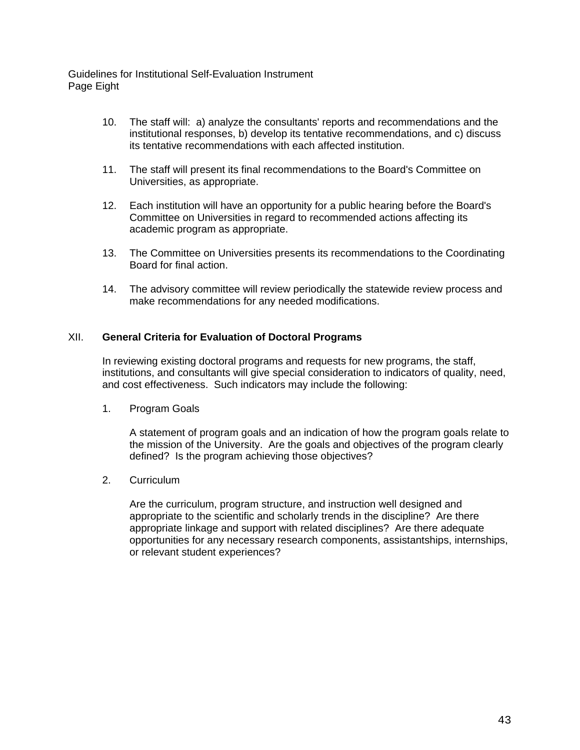Guidelines for Institutional Self-Evaluation Instrument Page Eight

- 10. The staff will: a) analyze the consultants' reports and recommendations and the institutional responses, b) develop its tentative recommendations, and c) discuss its tentative recommendations with each affected institution.
- 11. The staff will present its final recommendations to the Board's Committee on Universities, as appropriate.
- 12. Each institution will have an opportunity for a public hearing before the Board's Committee on Universities in regard to recommended actions affecting its academic program as appropriate.
- 13. The Committee on Universities presents its recommendations to the Coordinating Board for final action.
- 14. The advisory committee will review periodically the statewide review process and make recommendations for any needed modifications.

#### XII. **General Criteria for Evaluation of Doctoral Programs**

In reviewing existing doctoral programs and requests for new programs, the staff, institutions, and consultants will give special consideration to indicators of quality, need, and cost effectiveness. Such indicators may include the following:

1. Program Goals

A statement of program goals and an indication of how the program goals relate to the mission of the University. Are the goals and objectives of the program clearly defined? Is the program achieving those objectives?

2. Curriculum

Are the curriculum, program structure, and instruction well designed and appropriate to the scientific and scholarly trends in the discipline? Are there appropriate linkage and support with related disciplines? Are there adequate opportunities for any necessary research components, assistantships, internships, or relevant student experiences?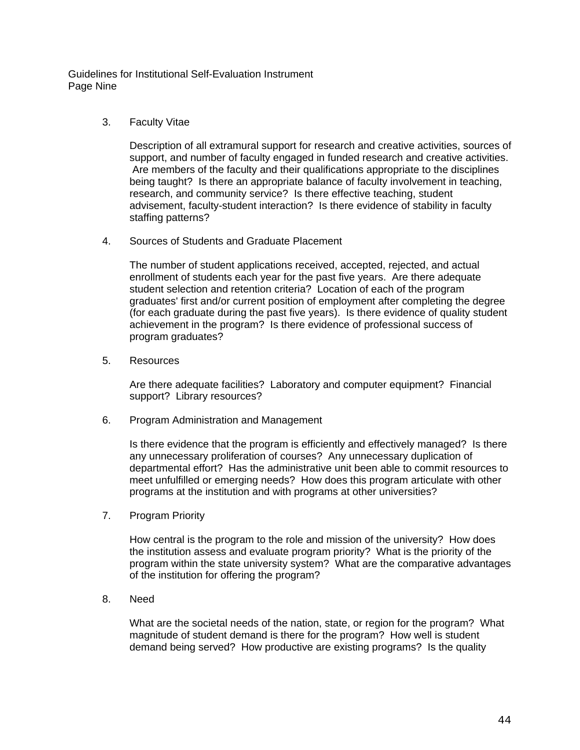Guidelines for Institutional Self-Evaluation Instrument Page Nine

3. Faculty Vitae

Description of all extramural support for research and creative activities, sources of support, and number of faculty engaged in funded research and creative activities. Are members of the faculty and their qualifications appropriate to the disciplines being taught? Is there an appropriate balance of faculty involvement in teaching, research, and community service? Is there effective teaching, student advisement, faculty-student interaction? Is there evidence of stability in faculty staffing patterns?

4. Sources of Students and Graduate Placement

The number of student applications received, accepted, rejected, and actual enrollment of students each year for the past five years. Are there adequate student selection and retention criteria? Location of each of the program graduates' first and/or current position of employment after completing the degree (for each graduate during the past five years). Is there evidence of quality student achievement in the program? Is there evidence of professional success of program graduates?

5. Resources

Are there adequate facilities? Laboratory and computer equipment? Financial support? Library resources?

6. Program Administration and Management

Is there evidence that the program is efficiently and effectively managed? Is there any unnecessary proliferation of courses? Any unnecessary duplication of departmental effort? Has the administrative unit been able to commit resources to meet unfulfilled or emerging needs? How does this program articulate with other programs at the institution and with programs at other universities?

7. Program Priority

How central is the program to the role and mission of the university? How does the institution assess and evaluate program priority? What is the priority of the program within the state university system? What are the comparative advantages of the institution for offering the program?

8. Need

What are the societal needs of the nation, state, or region for the program? What magnitude of student demand is there for the program? How well is student demand being served? How productive are existing programs? Is the quality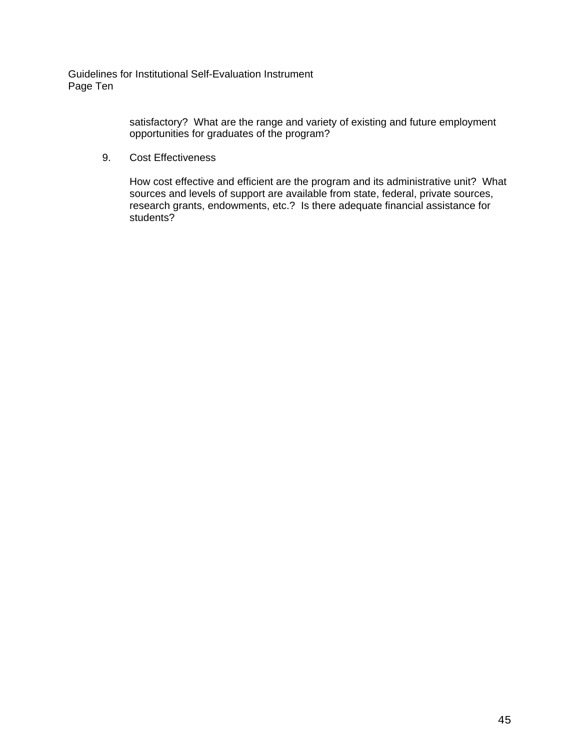Guidelines for Institutional Self-Evaluation Instrument Page Ten

> satisfactory? What are the range and variety of existing and future employment opportunities for graduates of the program?

9. Cost Effectiveness

How cost effective and efficient are the program and its administrative unit? What sources and levels of support are available from state, federal, private sources, research grants, endowments, etc.? Is there adequate financial assistance for students?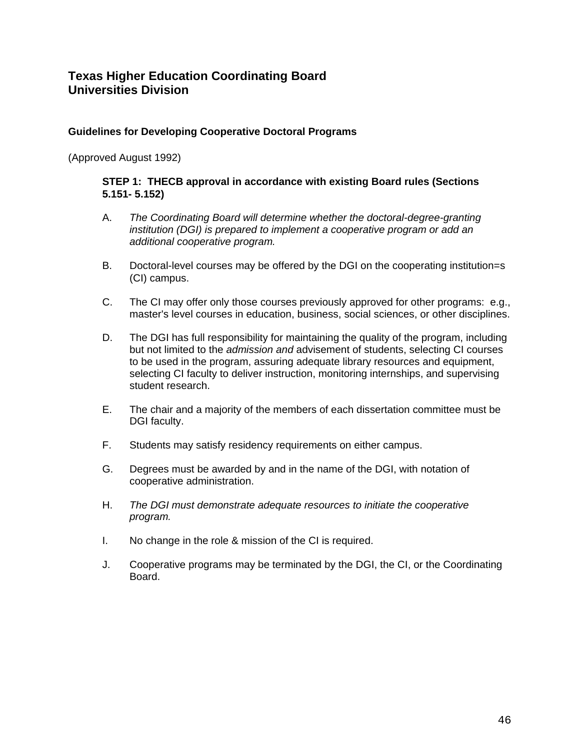#### **Guidelines for Developing Cooperative Doctoral Programs**

(Approved August 1992)

#### **STEP 1: THECB approval in accordance with existing Board rules (Sections 5.151- 5.152)**

- A. *The Coordinating Board will determine whether the doctoral-degree-granting institution (DGI) is prepared to implement a cooperative program or add an additional cooperative program.*
- B. Doctoral-level courses may be offered by the DGI on the cooperating institution=s (CI) campus.
- C. The CI may offer only those courses previously approved for other programs: e.g., master's level courses in education, business, social sciences, or other disciplines.
- D. The DGI has full responsibility for maintaining the quality of the program, including but not limited to the *admission and* advisement of students, selecting CI courses to be used in the program, assuring adequate library resources and equipment, selecting CI faculty to deliver instruction, monitoring internships, and supervising student research.
- E. The chair and a majority of the members of each dissertation committee must be DGI faculty.
- F. Students may satisfy residency requirements on either campus.
- G. Degrees must be awarded by and in the name of the DGI, with notation of cooperative administration.
- H. *The DGI must demonstrate adequate resources to initiate the cooperative program.*
- I. No change in the role & mission of the CI is required.
- J. Cooperative programs may be terminated by the DGI, the CI, or the Coordinating Board.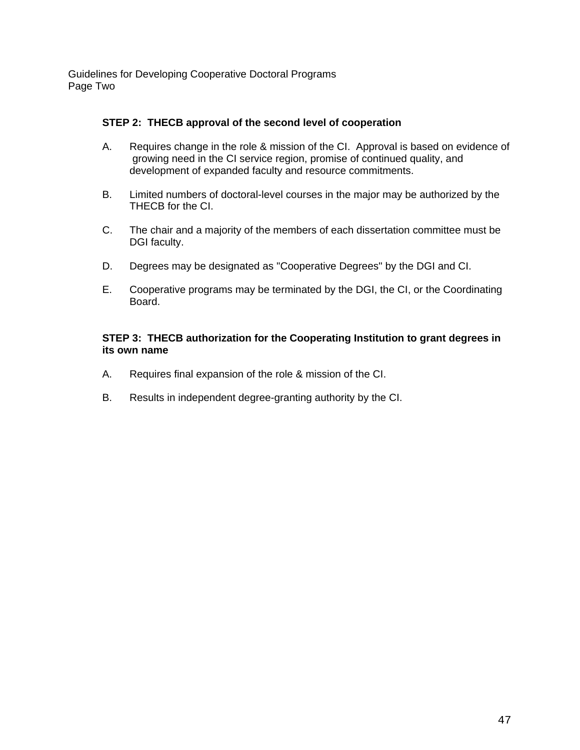Guidelines for Developing Cooperative Doctoral Programs Page Two

#### **STEP 2: THECB approval of the second level of cooperation**

- A. Requires change in the role & mission of the CI. Approval is based on evidence of growing need in the CI service region, promise of continued quality, and development of expanded faculty and resource commitments.
- B. Limited numbers of doctoral-level courses in the major may be authorized by the THECB for the CI.
- C. The chair and a majority of the members of each dissertation committee must be DGI faculty.
- D. Degrees may be designated as "Cooperative Degrees" by the DGI and CI.
- E. Cooperative programs may be terminated by the DGI, the CI, or the Coordinating Board.

## **STEP 3: THECB authorization for the Cooperating Institution to grant degrees in its own name**

- A. Requires final expansion of the role & mission of the CI.
- B. Results in independent degree-granting authority by the CI.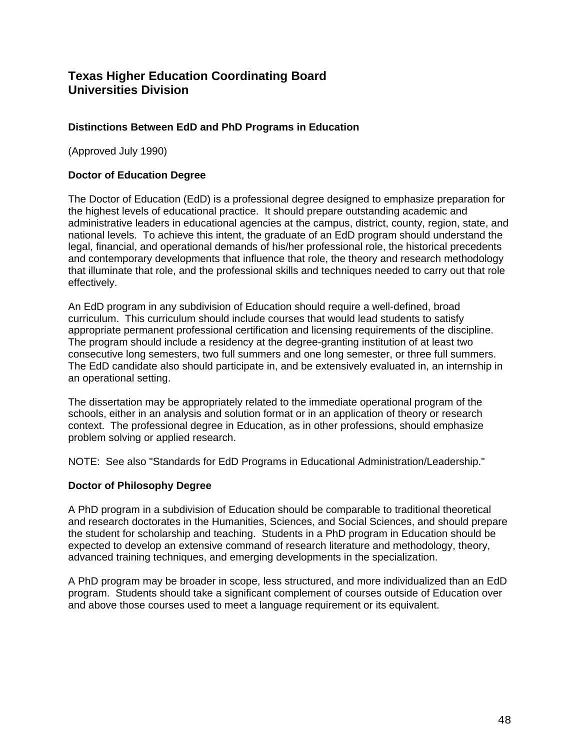## **Distinctions Between EdD and PhD Programs in Education**

(Approved July 1990)

#### **Doctor of Education Degree**

The Doctor of Education (EdD) is a professional degree designed to emphasize preparation for the highest levels of educational practice. It should prepare outstanding academic and administrative leaders in educational agencies at the campus, district, county, region, state, and national levels. To achieve this intent, the graduate of an EdD program should understand the legal, financial, and operational demands of his/her professional role, the historical precedents and contemporary developments that influence that role, the theory and research methodology that illuminate that role, and the professional skills and techniques needed to carry out that role effectively.

An EdD program in any subdivision of Education should require a well-defined, broad curriculum. This curriculum should include courses that would lead students to satisfy appropriate permanent professional certification and licensing requirements of the discipline. The program should include a residency at the degree-granting institution of at least two consecutive long semesters, two full summers and one long semester, or three full summers. The EdD candidate also should participate in, and be extensively evaluated in, an internship in an operational setting.

The dissertation may be appropriately related to the immediate operational program of the schools, either in an analysis and solution format or in an application of theory or research context. The professional degree in Education, as in other professions, should emphasize problem solving or applied research.

NOTE: See also "Standards for EdD Programs in Educational Administration/Leadership."

#### **Doctor of Philosophy Degree**

A PhD program in a subdivision of Education should be comparable to traditional theoretical and research doctorates in the Humanities, Sciences, and Social Sciences, and should prepare the student for scholarship and teaching. Students in a PhD program in Education should be expected to develop an extensive command of research literature and methodology, theory, advanced training techniques, and emerging developments in the specialization.

A PhD program may be broader in scope, less structured, and more individualized than an EdD program. Students should take a significant complement of courses outside of Education over and above those courses used to meet a language requirement or its equivalent.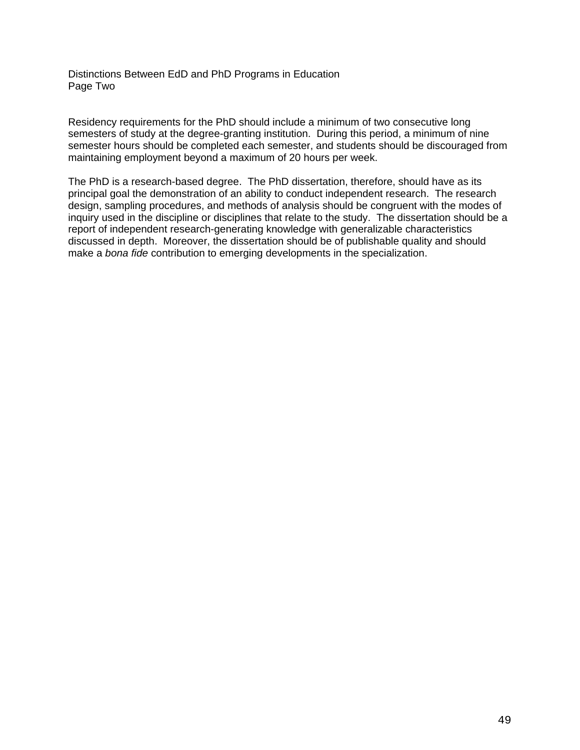Distinctions Between EdD and PhD Programs in Education Page Two

Residency requirements for the PhD should include a minimum of two consecutive long semesters of study at the degree-granting institution. During this period, a minimum of nine semester hours should be completed each semester, and students should be discouraged from maintaining employment beyond a maximum of 20 hours per week.

The PhD is a research-based degree. The PhD dissertation, therefore, should have as its principal goal the demonstration of an ability to conduct independent research. The research design, sampling procedures, and methods of analysis should be congruent with the modes of inquiry used in the discipline or disciplines that relate to the study. The dissertation should be a report of independent research-generating knowledge with generalizable characteristics discussed in depth. Moreover, the dissertation should be of publishable quality and should make a *bona fide* contribution to emerging developments in the specialization.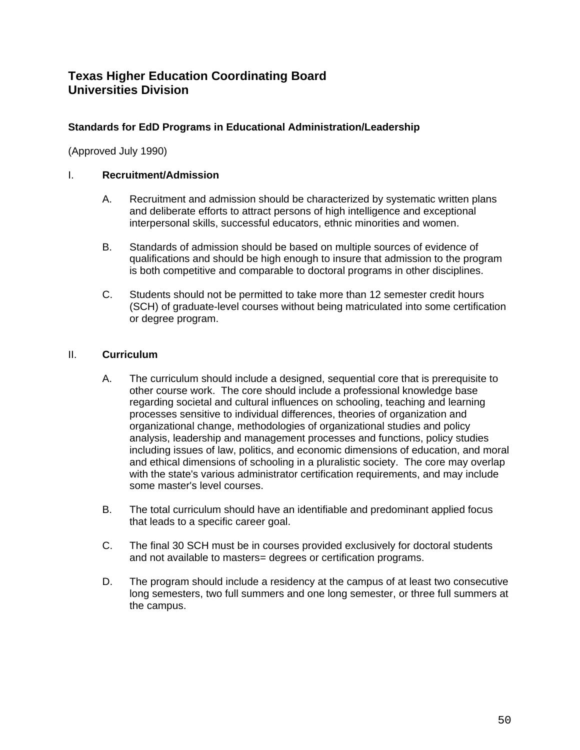## **Standards for EdD Programs in Educational Administration/Leadership**

(Approved July 1990)

## I. **Recruitment/Admission**

- A. Recruitment and admission should be characterized by systematic written plans and deliberate efforts to attract persons of high intelligence and exceptional interpersonal skills, successful educators, ethnic minorities and women.
- B. Standards of admission should be based on multiple sources of evidence of qualifications and should be high enough to insure that admission to the program is both competitive and comparable to doctoral programs in other disciplines.
- C. Students should not be permitted to take more than 12 semester credit hours (SCH) of graduate-level courses without being matriculated into some certification or degree program.

## II. **Curriculum**

- A. The curriculum should include a designed, sequential core that is prerequisite to other course work. The core should include a professional knowledge base regarding societal and cultural influences on schooling, teaching and learning processes sensitive to individual differences, theories of organization and organizational change, methodologies of organizational studies and policy analysis, leadership and management processes and functions, policy studies including issues of law, politics, and economic dimensions of education, and moral and ethical dimensions of schooling in a pluralistic society. The core may overlap with the state's various administrator certification requirements, and may include some master's level courses.
- B. The total curriculum should have an identifiable and predominant applied focus that leads to a specific career goal.
- C. The final 30 SCH must be in courses provided exclusively for doctoral students and not available to masters= degrees or certification programs.
- D. The program should include a residency at the campus of at least two consecutive long semesters, two full summers and one long semester, or three full summers at the campus.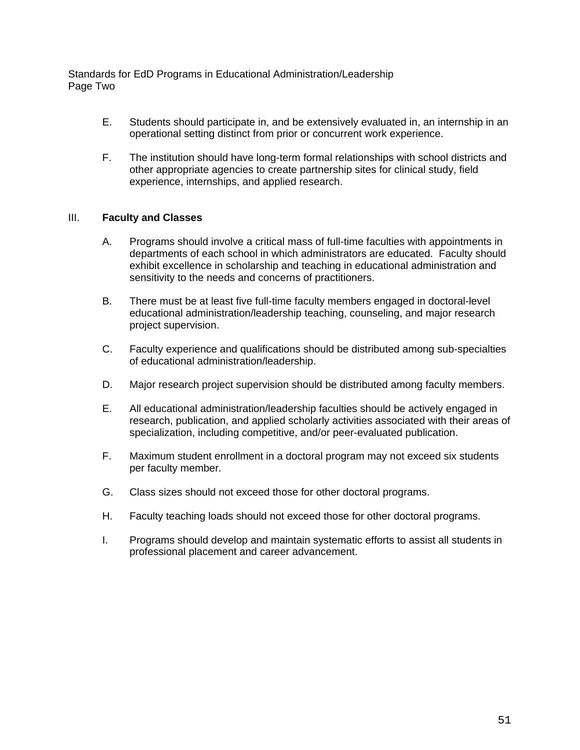Standards for EdD Programs in Educational Administration/Leadership Page Two

- E. Students should participate in, and be extensively evaluated in, an internship in an operational setting distinct from prior or concurrent work experience.
- F. The institution should have long-term formal relationships with school districts and other appropriate agencies to create partnership sites for clinical study, field experience, internships, and applied research.

#### III. **Faculty and Classes**

- A. Programs should involve a critical mass of full-time faculties with appointments in departments of each school in which administrators are educated. Faculty should exhibit excellence in scholarship and teaching in educational administration and sensitivity to the needs and concerns of practitioners.
- B. There must be at least five full-time faculty members engaged in doctoral-level educational administration/leadership teaching, counseling, and major research project supervision.
- C. Faculty experience and qualifications should be distributed among sub-specialties of educational administration/leadership.
- D. Major research project supervision should be distributed among faculty members.
- E. All educational administration/leadership faculties should be actively engaged in research, publication, and applied scholarly activities associated with their areas of specialization, including competitive, and/or peer-evaluated publication.
- F. Maximum student enrollment in a doctoral program may not exceed six students per faculty member.
- G. Class sizes should not exceed those for other doctoral programs.
- H. Faculty teaching loads should not exceed those for other doctoral programs.
- I. Programs should develop and maintain systematic efforts to assist all students in professional placement and career advancement.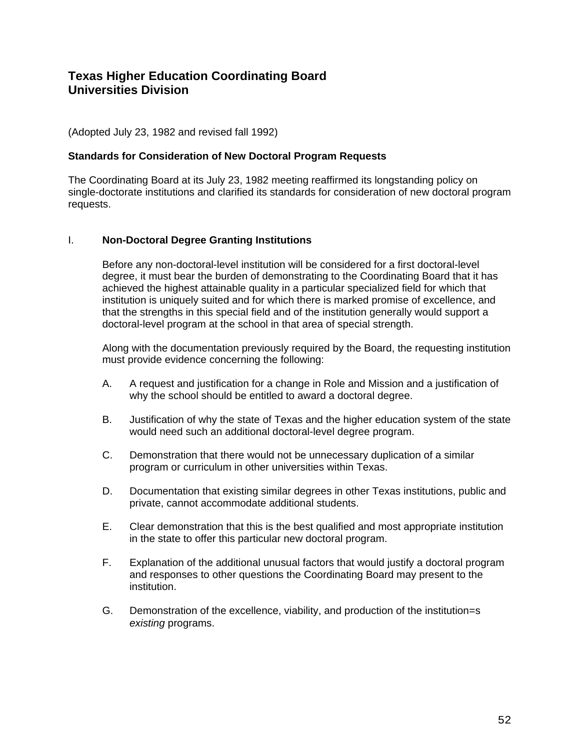(Adopted July 23, 1982 and revised fall 1992)

#### **Standards for Consideration of New Doctoral Program Requests**

The Coordinating Board at its July 23, 1982 meeting reaffirmed its longstanding policy on single-doctorate institutions and clarified its standards for consideration of new doctoral program requests.

#### I. **Non-Doctoral Degree Granting Institutions**

Before any non-doctoral-level institution will be considered for a first doctoral-level degree, it must bear the burden of demonstrating to the Coordinating Board that it has achieved the highest attainable quality in a particular specialized field for which that institution is uniquely suited and for which there is marked promise of excellence, and that the strengths in this special field and of the institution generally would support a doctoral-level program at the school in that area of special strength.

Along with the documentation previously required by the Board, the requesting institution must provide evidence concerning the following:

- A. A request and justification for a change in Role and Mission and a justification of why the school should be entitled to award a doctoral degree.
- B. Justification of why the state of Texas and the higher education system of the state would need such an additional doctoral-level degree program.
- C. Demonstration that there would not be unnecessary duplication of a similar program or curriculum in other universities within Texas.
- D. Documentation that existing similar degrees in other Texas institutions, public and private, cannot accommodate additional students.
- E. Clear demonstration that this is the best qualified and most appropriate institution in the state to offer this particular new doctoral program.
- F. Explanation of the additional unusual factors that would justify a doctoral program and responses to other questions the Coordinating Board may present to the institution.
- G. Demonstration of the excellence, viability, and production of the institution=s *existing* programs.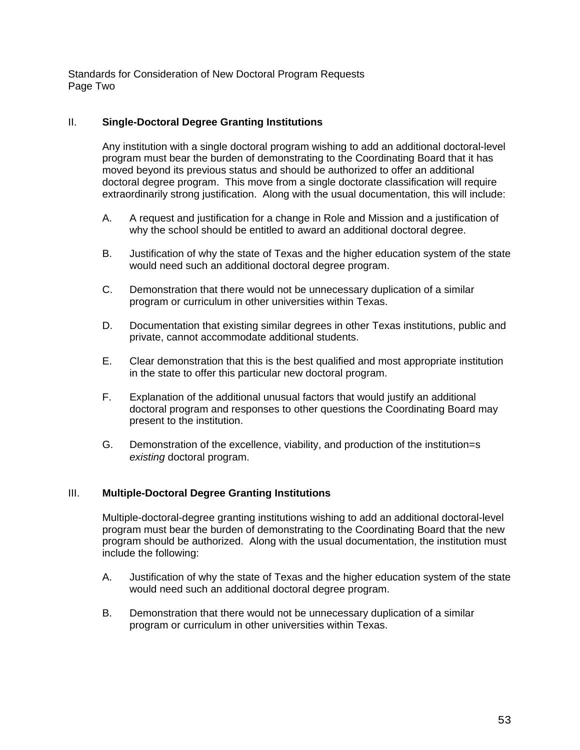Standards for Consideration of New Doctoral Program Requests Page Two

#### II. **Single-Doctoral Degree Granting Institutions**

Any institution with a single doctoral program wishing to add an additional doctoral-level program must bear the burden of demonstrating to the Coordinating Board that it has moved beyond its previous status and should be authorized to offer an additional doctoral degree program. This move from a single doctorate classification will require extraordinarily strong justification. Along with the usual documentation, this will include:

- A. A request and justification for a change in Role and Mission and a justification of why the school should be entitled to award an additional doctoral degree.
- B. Justification of why the state of Texas and the higher education system of the state would need such an additional doctoral degree program.
- C. Demonstration that there would not be unnecessary duplication of a similar program or curriculum in other universities within Texas.
- D. Documentation that existing similar degrees in other Texas institutions, public and private, cannot accommodate additional students.
- E. Clear demonstration that this is the best qualified and most appropriate institution in the state to offer this particular new doctoral program.
- F. Explanation of the additional unusual factors that would justify an additional doctoral program and responses to other questions the Coordinating Board may present to the institution.
- G. Demonstration of the excellence, viability, and production of the institution=s *existing* doctoral program.

#### III. **Multiple-Doctoral Degree Granting Institutions**

Multiple-doctoral-degree granting institutions wishing to add an additional doctoral-level program must bear the burden of demonstrating to the Coordinating Board that the new program should be authorized. Along with the usual documentation, the institution must include the following:

- A. Justification of why the state of Texas and the higher education system of the state would need such an additional doctoral degree program.
- B. Demonstration that there would not be unnecessary duplication of a similar program or curriculum in other universities within Texas.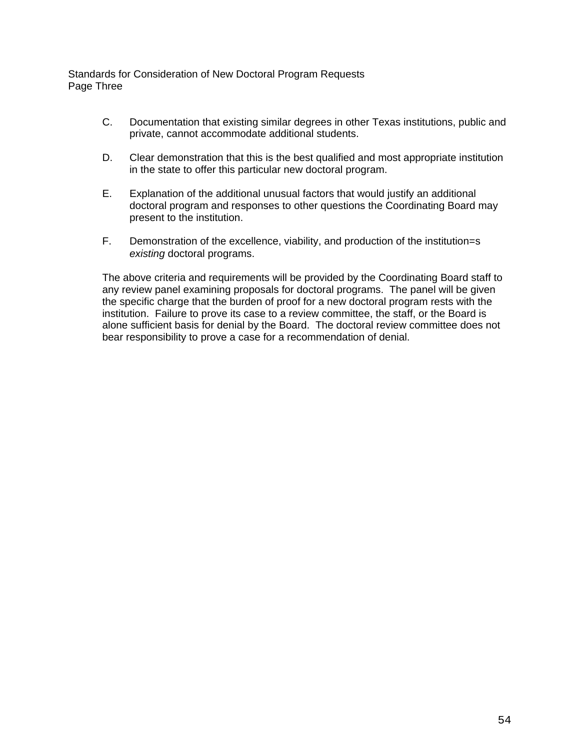Standards for Consideration of New Doctoral Program Requests Page Three

- C. Documentation that existing similar degrees in other Texas institutions, public and private, cannot accommodate additional students.
- D. Clear demonstration that this is the best qualified and most appropriate institution in the state to offer this particular new doctoral program.
- E. Explanation of the additional unusual factors that would justify an additional doctoral program and responses to other questions the Coordinating Board may present to the institution.
- F. Demonstration of the excellence, viability, and production of the institution=s *existing* doctoral programs.

The above criteria and requirements will be provided by the Coordinating Board staff to any review panel examining proposals for doctoral programs. The panel will be given the specific charge that the burden of proof for a new doctoral program rests with the institution. Failure to prove its case to a review committee, the staff, or the Board is alone sufficient basis for denial by the Board. The doctoral review committee does not bear responsibility to prove a case for a recommendation of denial.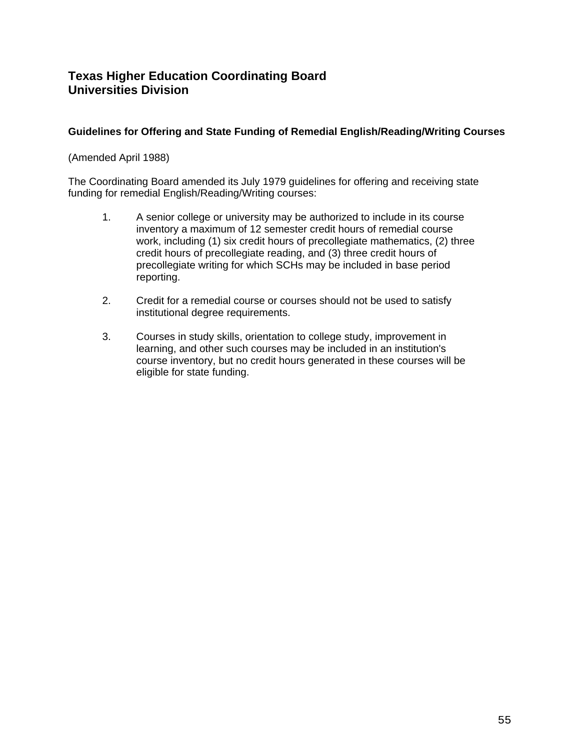## **Guidelines for Offering and State Funding of Remedial English/Reading/Writing Courses**

## (Amended April 1988)

The Coordinating Board amended its July 1979 guidelines for offering and receiving state funding for remedial English/Reading/Writing courses:

- 1. A senior college or university may be authorized to include in its course inventory a maximum of 12 semester credit hours of remedial course work, including (1) six credit hours of precollegiate mathematics, (2) three credit hours of precollegiate reading, and (3) three credit hours of precollegiate writing for which SCHs may be included in base period reporting.
- 2. Credit for a remedial course or courses should not be used to satisfy institutional degree requirements.
- 3. Courses in study skills, orientation to college study, improvement in learning, and other such courses may be included in an institution's course inventory, but no credit hours generated in these courses will be eligible for state funding.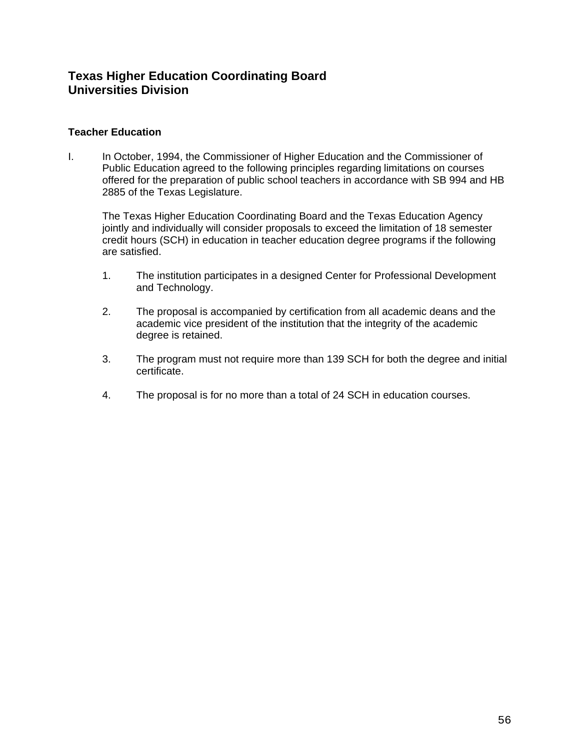## **Teacher Education**

I. In October, 1994, the Commissioner of Higher Education and the Commissioner of Public Education agreed to the following principles regarding limitations on courses offered for the preparation of public school teachers in accordance with SB 994 and HB 2885 of the Texas Legislature.

The Texas Higher Education Coordinating Board and the Texas Education Agency jointly and individually will consider proposals to exceed the limitation of 18 semester credit hours (SCH) in education in teacher education degree programs if the following are satisfied.

- 1. The institution participates in a designed Center for Professional Development and Technology.
- 2. The proposal is accompanied by certification from all academic deans and the academic vice president of the institution that the integrity of the academic degree is retained.
- 3. The program must not require more than 139 SCH for both the degree and initial certificate.
- 4. The proposal is for no more than a total of 24 SCH in education courses.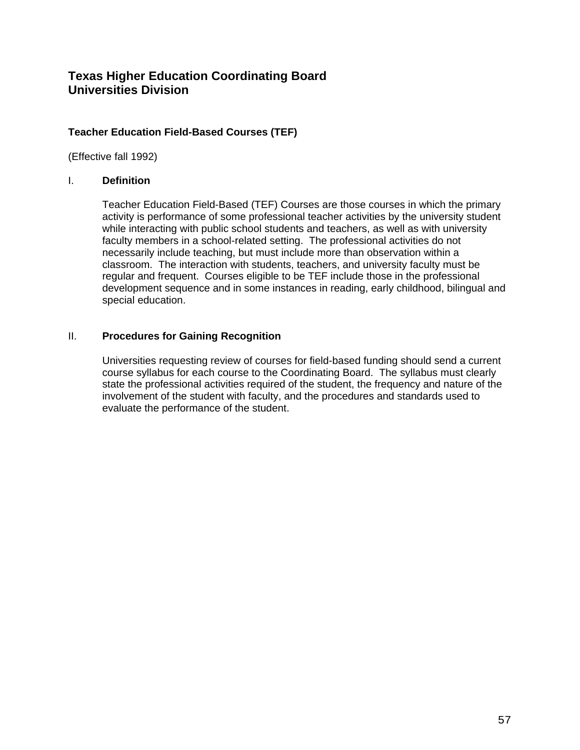## **Teacher Education Field-Based Courses (TEF)**

(Effective fall 1992)

#### I. **Definition**

Teacher Education Field-Based (TEF) Courses are those courses in which the primary activity is performance of some professional teacher activities by the university student while interacting with public school students and teachers, as well as with university faculty members in a school-related setting. The professional activities do not necessarily include teaching, but must include more than observation within a classroom. The interaction with students, teachers, and university faculty must be regular and frequent. Courses eligible to be TEF include those in the professional development sequence and in some instances in reading, early childhood, bilingual and special education.

## II. **Procedures for Gaining Recognition**

Universities requesting review of courses for field-based funding should send a current course syllabus for each course to the Coordinating Board. The syllabus must clearly state the professional activities required of the student, the frequency and nature of the involvement of the student with faculty, and the procedures and standards used to evaluate the performance of the student.